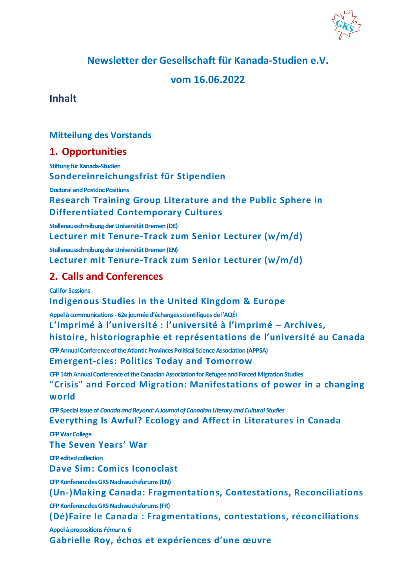**Newsletter der Gesellschaft für Kanada-Studien e.V.**

# **vom 16.06.2022**

**Inhalt**

## **[Mitteilung des Vorstands](#page-2-0)**

# **1. [Opportunities](#page-3-0)**

**[Stiftung für Kanada-Studien](#page-3-1) [Sondereinreichungsfrist für Stipendien](#page-3-2)**

**[Doctoral and Postdoc Positions](#page-3-3)**

**[Research Training Group Literature and the Public Sphere in](#page-3-4)  [Differentiated Contemporary Cultures](#page-3-4)**

**[Stellenausschreibung der Universität Bremen \(DE\)](#page-5-0) [Lecturer mit Tenure-Track zum Senior Lecturer \(w/m/d\)](#page-5-1)**

**[Stellenausschreibung der Universität Bremen \(EN\)](#page-7-0) [Lecturer mit Tenure-Track zum Senior Lecturer \(w/m/d\)](#page-7-1)**

# **2. [Calls and Conferences](#page-9-0)**

**[Call for Sessions](#page-9-1) [Indigenous Studies in the United Kingdom & Europe](#page-9-2) Appel à communications - [62e journée d'échanges scientifiques de l'AQÉI](#page-11-0) [L'imprimé à l'université : l'université à l'imprimé –](#page-11-1) Archives, [histoire, historiographie et représentations de l'université au Canada](#page-11-1) [CFP Annual Conference of the Atlantic Provinces Political Science Association \(APPSA\)](#page-13-0) [Emergent-cies: Politics Today and Tomorrow](#page-13-1) [CFP 14th Annual Conference of the Canadian Association for Refugee and Forced Migration Studies](#page-13-2) ["Crisis" and Forced Migration: Manifestations of power in a changing](#page-13-3)  [world](#page-13-3) CFP Special Issue of** *[Canada and Beyond: A Journal of Canadian Literary and Cultural Studies](#page-14-0)* **[Everything Is Awful? Ecology and Affect in Literatures in Canada](#page-14-1) [CFP War College](#page-16-0) [The Seven Years' War](#page-16-1) [CFP edited collection](#page-17-0) [Dave Sim: Comics Iconoclast](#page-17-1) [CFP Konferenz des GKS Nachwuchsforums \(EN\)](#page-17-2) [\(Un-\)Making Canada: Fragmentations, Contestations, Reconciliations](#page-17-3) [CFP Konferenz des GKS Nachwuchsforums \(FR\)](#page-20-0) [\(Dé\)Faire le Canada : Fragmentations, contestations, réconciliations](#page-20-1) [Appel à propositions](#page-22-0)** *Fémur***n. 6 [Gabrielle Roy, échos et expériences d'une œuvre](#page-22-1)**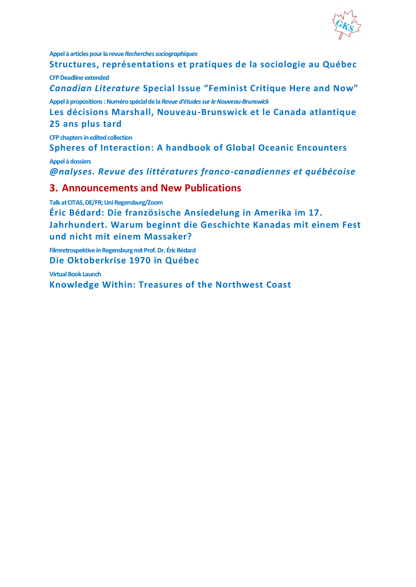

**[Appel à articles pour la revue](#page-30-0)** *Recherches sociographiques*

**[Structures, représentations et pratiques de la sociologie au Québec](#page-30-1) [CFP Deadline extended](#page-33-0)**

*Canadian Literature* **[Special Issue "Feminist Critique Here and Now"](#page-33-1)**

**[Appel à propositions: Numéro spécial de la](#page-36-0)** *Revue d'études sur le Nouveau-Brunswick*

**[Les décisions Marshall, Nouveau-Brunswick et le Canada atlantique](#page-36-1)  [25 ans plus tard](#page-36-1)**

**[CFP chapters in edited collection](#page-36-2)**

**[Spheres of Interaction: A handbook of Global Oceanic Encounters](#page-36-3)**

**[Appel à dossiers](#page-38-0)**

*[@nalyses. Revue des littératures franco-canadiennes et québécoise](#page-38-1)*

### **3. [Announcements and New Publications](#page-38-2)**

**[Talk at CITAS, DE/FR; Uni Regensburg/Zoom](#page-38-3)**

**[Éric Bédard: Die französische Ansiedelung in Amerika im 17.](#page-38-4)  [Jahrhundert. Warum beginnt die Geschichte Kanadas mit einem Fest](#page-38-4)  [und nicht mit einem Massaker?](#page-38-4)**

**[Filmretrospektive in Regensburg mit Prof. Dr. Éric Bédard](#page-39-0) [Die Oktoberkrise 1970 in Québec](#page-39-1)**

**[Virtual Book Launch](#page-39-2) [Knowledge Within: Treasures of the Northwest Coast](#page-39-3)**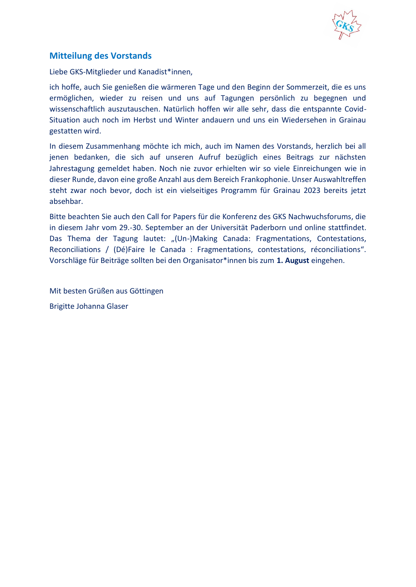

## <span id="page-2-0"></span>**Mitteilung des Vorstands**

Liebe GKS-Mitglieder und Kanadist\*innen,

ich hoffe, auch Sie genießen die wärmeren Tage und den Beginn der Sommerzeit, die es uns ermöglichen, wieder zu reisen und uns auf Tagungen persönlich zu begegnen und wissenschaftlich auszutauschen. Natürlich hoffen wir alle sehr, dass die entspannte Covid-Situation auch noch im Herbst und Winter andauern und uns ein Wiedersehen in Grainau gestatten wird.

In diesem Zusammenhang möchte ich mich, auch im Namen des Vorstands, herzlich bei all jenen bedanken, die sich auf unseren Aufruf bezüglich eines Beitrags zur nächsten Jahrestagung gemeldet haben. Noch nie zuvor erhielten wir so viele Einreichungen wie in dieser Runde, davon eine große Anzahl aus dem Bereich Frankophonie. Unser Auswahltreffen steht zwar noch bevor, doch ist ein vielseitiges Programm für Grainau 2023 bereits jetzt absehbar.

Bitte beachten Sie auch den Call for Papers für die Konferenz des GKS Nachwuchsforums, die in diesem Jahr vom 29.-30. September an der Universität Paderborn und online stattfindet. Das Thema der Tagung lautet: "(Un-)Making Canada: Fragmentations, Contestations, Reconciliations / (Dé)Faire le Canada : Fragmentations, contestations, réconciliations". Vorschläge für Beiträge sollten bei den Organisator\*innen bis zum **1. August** eingehen.

Mit besten Grüßen aus Göttingen Brigitte Johanna Glaser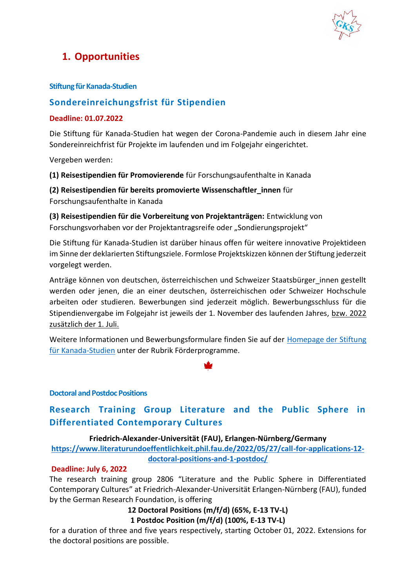

# <span id="page-3-0"></span>**1. Opportunities**

### <span id="page-3-1"></span>**Stiftung für Kanada-Studien**

## <span id="page-3-2"></span>**Sondereinreichungsfrist für Stipendien**

### **Deadline: 01.07.2022**

Die Stiftung für Kanada-Studien hat wegen der Corona-Pandemie auch in diesem Jahr eine Sondereinreichfrist für Projekte im laufenden und im Folgejahr eingerichtet.

Vergeben werden:

**(1) Reisestipendien für Promovierende** für Forschungsaufenthalte in Kanada

**(2) Reisestipendien für bereits promovierte Wissenschaftler\_innen** für Forschungsaufenthalte in Kanada

**(3) Reisestipendien für die Vorbereitung von Projektanträgen:** Entwicklung von Forschungsvorhaben vor der Projektantragsreife oder "Sondierungsprojekt"

Die Stiftung für Kanada-Studien ist darüber hinaus offen für weitere innovative Projektideen im Sinne der deklarierten Stiftungsziele. Formlose Projektskizzen können der Stiftung jederzeit vorgelegt werden.

Anträge können von deutschen, österreichischen und Schweizer Staatsbürger innen gestellt werden oder jenen, die an einer deutschen, österreichischen oder Schweizer Hochschule arbeiten oder studieren. Bewerbungen sind jederzeit möglich. Bewerbungsschluss für die Stipendienvergabe im Folgejahr ist jeweils der 1. November des laufenden Jahres, bzw. 2022 zusätzlich der 1. Juli.

Weitere Informationen und Bewerbungsformulare finden Sie auf der [Homepage der Stiftung](http://www.stiftung-kanada-studien.de/)  [für Kanada-Studien](http://www.stiftung-kanada-studien.de/) unter der Rubrik Förderprogramme.

### <span id="page-3-3"></span>**Doctoral and Postdoc Positions**

# <span id="page-3-4"></span>**Research Training Group Literature and the Public Sphere in Differentiated Contemporary Cultures**

### **Friedrich-Alexander-Universität (FAU), Erlangen-Nürnberg/Germany**

**[https://www.literaturundoeffentlichkeit.phil.fau.de/2022/05/27/call-for-applications-12](https://www.literaturundoeffentlichkeit.phil.fau.de/2022/05/27/call-for-applications-12-doctoral-positions-and-1-postdoc/) [doctoral-positions-and-1-postdoc/](https://www.literaturundoeffentlichkeit.phil.fau.de/2022/05/27/call-for-applications-12-doctoral-positions-and-1-postdoc/)**

### **Deadline: July 6, 2022**

The research training group 2806 "Literature and the Public Sphere in Differentiated Contemporary Cultures" at Friedrich-Alexander-Universität Erlangen-Nürnberg (FAU), funded by the German Research Foundation, is offering

### **12 Doctoral Positions (m/f/d) (65%, E-13 TV-L) 1 Postdoc Position (m/f/d) (100%, E-13 TV-L)**

for a duration of three and five years respectively, starting October 01, 2022. Extensions for the doctoral positions are possible.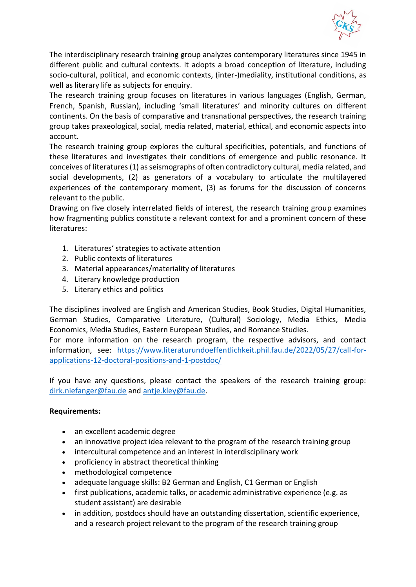

The interdisciplinary research training group analyzes contemporary literatures since 1945 in different public and cultural contexts. It adopts a broad conception of literature, including socio-cultural, political, and economic contexts, (inter-)mediality, institutional conditions, as well as literary life as subjects for enquiry.

The research training group focuses on literatures in various languages (English, German, French, Spanish, Russian), including 'small literatures' and minority cultures on different continents. On the basis of comparative and transnational perspectives, the research training group takes praxeological, social, media related, material, ethical, and economic aspects into account.

The research training group explores the cultural specificities, potentials, and functions of these literatures and investigates their conditions of emergence and public resonance. It conceives of literatures (1) as seismographs of often contradictory cultural, media related, and social developments, (2) as generators of a vocabulary to articulate the multilayered experiences of the contemporary moment, (3) as forums for the discussion of concerns relevant to the public.

Drawing on five closely interrelated fields of interest, the research training group examines how fragmenting publics constitute a relevant context for and a prominent concern of these literatures:

- 1. Literatures' strategies to activate attention
- 2. Public contexts of literatures
- 3. Material appearances/materiality of literatures
- 4. Literary knowledge production
- 5. Literary ethics and politics

The disciplines involved are English and American Studies, Book Studies, Digital Humanities, German Studies, Comparative Literature, (Cultural) Sociology, Media Ethics, Media Economics, Media Studies, Eastern European Studies, and Romance Studies.

For more information on the research program, the respective advisors, and contact information, see: [https://www.literaturundoeffentlichkeit.phil.fau.de/2022/05/27/call-for](https://www.literaturundoeffentlichkeit.phil.fau.de/2022/05/27/call-for-applications-12-doctoral-positions-and-1-postdoc/)[applications-12-doctoral-positions-and-1-postdoc/](https://www.literaturundoeffentlichkeit.phil.fau.de/2022/05/27/call-for-applications-12-doctoral-positions-and-1-postdoc/)

If you have any questions, please contact the speakers of the research training group: [dirk.niefanger@fau.de](mailto:dirk.niefanger@fau.de) and [antje.kley@fau.de.](mailto:antje.kley@fau.de)

### **Requirements:**

- an excellent academic degree
- an innovative project idea relevant to the program of the research training group
- intercultural competence and an interest in interdisciplinary work
- proficiency in abstract theoretical thinking
- methodological competence
- adequate language skills: B2 German and English, C1 German or English
- first publications, academic talks, or academic administrative experience (e.g. as student assistant) are desirable
- in addition, postdocs should have an outstanding dissertation, scientific experience, and a research project relevant to the program of the research training group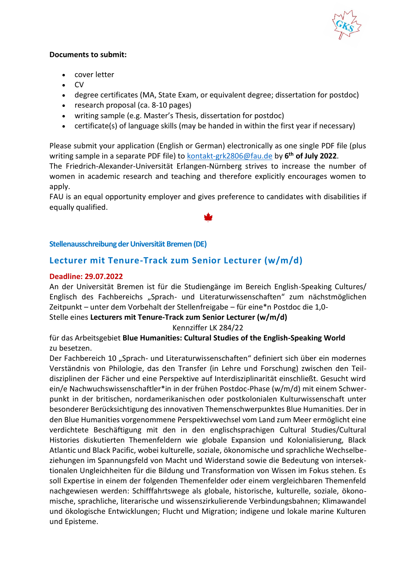

### **Documents to submit:**

- cover letter
- CV
- degree certificates (MA, State Exam, or equivalent degree; dissertation for postdoc)
- research proposal (ca. 8-10 pages)
- writing sample (e.g. Master's Thesis, dissertation for postdoc)
- certificate(s) of language skills (may be handed in within the first year if necessary)

Please submit your application (English or German) electronically as one single PDF file (plus writing sample in a separate PDF file) to **kontakt-grk2806@fau.de** by 6<sup>th</sup> of July 2022.

The Friedrich-Alexander-Universität Erlangen-Nürnberg strives to increase the number of women in academic research and teaching and therefore explicitly encourages women to apply.

FAU is an equal opportunity employer and gives preference to candidates with disabilities if equally qualified.

### <span id="page-5-0"></span>**Stellenausschreibung der Universität Bremen (DE)**

### <span id="page-5-1"></span>**Lecturer mit Tenure-Track zum Senior Lecturer (w/m/d)**

### **Deadline: 29.07.2022**

An der Universität Bremen ist für die Studiengänge im Bereich English-Speaking Cultures/ Englisch des Fachbereichs "Sprach- und Literaturwissenschaften" zum nächstmöglichen Zeitpunkt – unter dem Vorbehalt der Stellenfreigabe – für eine\*n Postdoc die 1,0-

Stelle eines **Lecturers mit Tenure-Track zum Senior Lecturer (w/m/d)**

### Kennziffer LK 284/22

für das Arbeitsgebiet **Blue Humanities: Cultural Studies of the English-Speaking World** zu besetzen.

Der Fachbereich 10 "Sprach- und Literaturwissenschaften" definiert sich über ein modernes Verständnis von Philologie, das den Transfer (in Lehre und Forschung) zwischen den Teildisziplinen der Fächer und eine Perspektive auf Interdisziplinarität einschließt. Gesucht wird ein/e Nachwuchswissenschaftler\*in in der frühen Postdoc-Phase (w/m/d) mit einem Schwerpunkt in der britischen, nordamerikanischen oder postkolonialen Kulturwissenschaft unter besonderer Berücksichtigung des innovativen Themenschwerpunktes Blue Humanities. Der in den Blue Humanities vorgenommene Perspektivwechsel vom Land zum Meer ermöglicht eine verdichtete Beschäftigung mit den in den englischsprachigen Cultural Studies/Cultural Histories diskutierten Themenfeldern wie globale Expansion und Kolonialisierung, Black Atlantic und Black Pacific, wobei kulturelle, soziale, ökonomische und sprachliche Wechselbeziehungen im Spannungsfeld von Macht und Widerstand sowie die Bedeutung von intersektionalen Ungleichheiten für die Bildung und Transformation von Wissen im Fokus stehen. Es soll Expertise in einem der folgenden Themenfelder oder einem vergleichbaren Themenfeld nachgewiesen werden: Schifffahrtswege als globale, historische, kulturelle, soziale, ökonomische, sprachliche, literarische und wissenszirkulierende Verbindungsbahnen; Klimawandel und ökologische Entwicklungen; Flucht und Migration; indigene und lokale marine Kulturen und Episteme.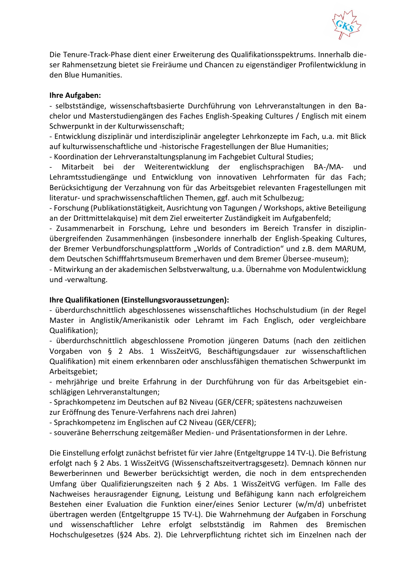

Die Tenure-Track-Phase dient einer Erweiterung des Qualifikationsspektrums. Innerhalb dieser Rahmensetzung bietet sie Freiräume und Chancen zu eigenständiger Profilentwicklung in den Blue Humanities.

### **Ihre Aufgaben:**

- selbstständige, wissenschaftsbasierte Durchführung von Lehrveranstaltungen in den Bachelor und Masterstudiengängen des Faches English-Speaking Cultures / Englisch mit einem Schwerpunkt in der Kulturwissenschaft;

- Entwicklung disziplinär und interdisziplinär angelegter Lehrkonzepte im Fach, u.a. mit Blick auf kulturwissenschaftliche und -historische Fragestellungen der Blue Humanities;

- Koordination der Lehrveranstaltungsplanung im Fachgebiet Cultural Studies;

- Mitarbeit bei der Weiterentwicklung der englischsprachigen BA-/MA- und Lehramtsstudiengänge und Entwicklung von innovativen Lehrformaten für das Fach; Berücksichtigung der Verzahnung von für das Arbeitsgebiet relevanten Fragestellungen mit literatur- und sprachwissenschaftlichen Themen, ggf. auch mit Schulbezug;

- Forschung (Publikationstätigkeit, Ausrichtung von Tagungen / Workshops, aktive Beteiligung an der Drittmittelakquise) mit dem Ziel erweiterter Zuständigkeit im Aufgabenfeld;

- Zusammenarbeit in Forschung, Lehre und besonders im Bereich Transfer in disziplinübergreifenden Zusammenhängen (insbesondere innerhalb der English-Speaking Cultures, der Bremer Verbundforschungsplattform "Worlds of Contradiction" und z.B. dem MARUM, dem Deutschen Schifffahrtsmuseum Bremerhaven und dem Bremer Übersee-museum);

- Mitwirkung an der akademischen Selbstverwaltung, u.a. Übernahme von Modulentwicklung und -verwaltung.

### **Ihre Qualifikationen (Einstellungsvoraussetzungen):**

- überdurchschnittlich abgeschlossenes wissenschaftliches Hochschulstudium (in der Regel Master in Anglistik/Amerikanistik oder Lehramt im Fach Englisch, oder vergleichbare Qualifikation);

- überdurchschnittlich abgeschlossene Promotion jüngeren Datums (nach den zeitlichen Vorgaben von § 2 Abs. 1 WissZeitVG, Beschäftigungsdauer zur wissenschaftlichen Qualifikation) mit einem erkennbaren oder anschlussfähigen thematischen Schwerpunkt im Arbeitsgebiet;

- mehrjährige und breite Erfahrung in der Durchführung von für das Arbeitsgebiet einschlägigen Lehrveranstaltungen;

- Sprachkompetenz im Deutschen auf B2 Niveau (GER/CEFR; spätestens nachzuweisen zur Eröffnung des Tenure-Verfahrens nach drei Jahren)

- Sprachkompetenz im Englischen auf C2 Niveau (GER/CEFR);

- souveräne Beherrschung zeitgemäßer Medien- und Präsentationsformen in der Lehre.

Die Einstellung erfolgt zunächst befristet für vier Jahre (Entgeltgruppe 14 TV-L). Die Befristung erfolgt nach § 2 Abs. 1 WissZeitVG (Wissenschaftszeitvertragsgesetz). Demnach können nur Bewerberinnen und Bewerber berücksichtigt werden, die noch in dem entsprechenden Umfang über Qualifizierungszeiten nach § 2 Abs. 1 WissZeitVG verfügen. Im Falle des Nachweises herausragender Eignung, Leistung und Befähigung kann nach erfolgreichem Bestehen einer Evaluation die Funktion einer/eines Senior Lecturer (w/m/d) unbefristet übertragen werden (Entgeltgruppe 15 TV-L). Die Wahrnehmung der Aufgaben in Forschung und wissenschaftlicher Lehre erfolgt selbstständig im Rahmen des Bremischen Hochschulgesetzes (§24 Abs. 2). Die Lehrverpflichtung richtet sich im Einzelnen nach der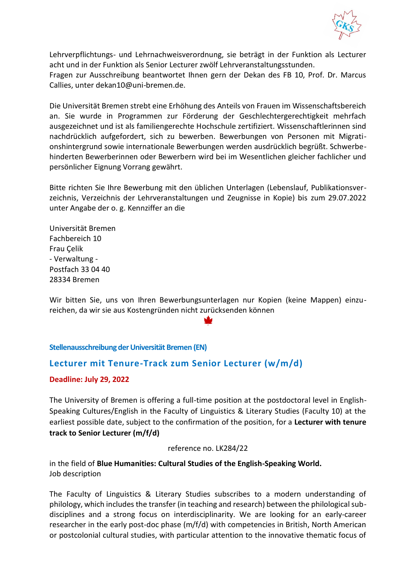

Lehrverpflichtungs- und Lehrnachweisverordnung, sie beträgt in der Funktion als Lecturer acht und in der Funktion als Senior Lecturer zwölf Lehrveranstaltungsstunden.

Fragen zur Ausschreibung beantwortet Ihnen gern der Dekan des FB 10, Prof. Dr. Marcus Callies, unter dekan10@uni-bremen.de.

Die Universität Bremen strebt eine Erhöhung des Anteils von Frauen im Wissenschaftsbereich an. Sie wurde in Programmen zur Förderung der Geschlechtergerechtigkeit mehrfach ausgezeichnet und ist als familiengerechte Hochschule zertifiziert. Wissenschaftlerinnen sind nachdrücklich aufgefordert, sich zu bewerben. Bewerbungen von Personen mit Migrationshintergrund sowie internationale Bewerbungen werden ausdrücklich begrüßt. Schwerbehinderten Bewerberinnen oder Bewerbern wird bei im Wesentlichen gleicher fachlicher und persönlicher Eignung Vorrang gewährt.

Bitte richten Sie Ihre Bewerbung mit den üblichen Unterlagen (Lebenslauf, Publikationsverzeichnis, Verzeichnis der Lehrveranstaltungen und Zeugnisse in Kopie) bis zum 29.07.2022 unter Angabe der o. g. Kennziffer an die

Universität Bremen Fachbereich 10 Frau Çelik - Verwaltung - Postfach 33 04 40 28334 Bremen

Wir bitten Sie, uns von Ihren Bewerbungsunterlagen nur Kopien (keine Mappen) einzureichen, da wir sie aus Kostengründen nicht zurücksenden können

### <span id="page-7-0"></span>**Stellenausschreibung der Universität Bremen (EN)**

### <span id="page-7-1"></span>**Lecturer mit Tenure-Track zum Senior Lecturer (w/m/d)**

### **Deadline: July 29, 2022**

The University of Bremen is offering a full-time position at the postdoctoral level in English-Speaking Cultures/English in the Faculty of Linguistics & Literary Studies (Faculty 10) at the earliest possible date, subject to the confirmation of the position, for a **Lecturer with tenure track to Senior Lecturer (m/f/d)** 

#### reference no. LK284/22

in the field of **Blue Humanities: Cultural Studies of the English-Speaking World.** Job description

The Faculty of Linguistics & Literary Studies subscribes to a modern understanding of philology, which includes the transfer (in teaching and research) between the philological subdisciplines and a strong focus on interdisciplinarity. We are looking for an early-career researcher in the early post-doc phase (m/f/d) with competencies in British, North American or postcolonial cultural studies, with particular attention to the innovative thematic focus of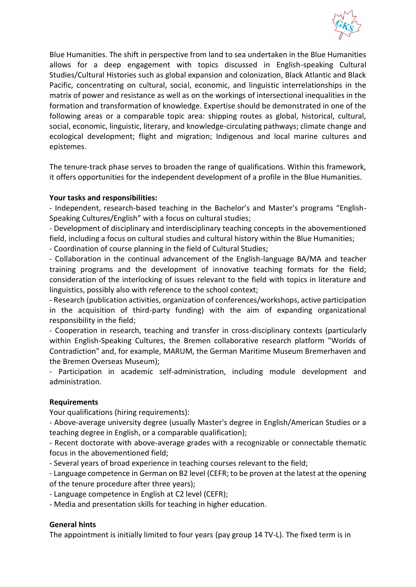

Blue Humanities. The shift in perspective from land to sea undertaken in the Blue Humanities allows for a deep engagement with topics discussed in English-speaking Cultural Studies/Cultural Histories such as global expansion and colonization, Black Atlantic and Black Pacific, concentrating on cultural, social, economic, and linguistic interrelationships in the matrix of power and resistance as well as on the workings of intersectional inequalities in the formation and transformation of knowledge. Expertise should be demonstrated in one of the following areas or a comparable topic area: shipping routes as global, historical, cultural, social, economic, linguistic, literary, and knowledge-circulating pathways; climate change and ecological development; flight and migration; Indigenous and local marine cultures and epistemes.

The tenure-track phase serves to broaden the range of qualifications. Within this framework, it offers opportunities for the independent development of a profile in the Blue Humanities.

### **Your tasks and responsibilities:**

- Independent, research-based teaching in the Bachelor's and Master's programs "English-Speaking Cultures/English" with a focus on cultural studies;

- Development of disciplinary and interdisciplinary teaching concepts in the abovementioned field, including a focus on cultural studies and cultural history within the Blue Humanities;

- Coordination of course planning in the field of Cultural Studies;

- Collaboration in the continual advancement of the English-language BA/MA and teacher training programs and the development of innovative teaching formats for the field; consideration of the interlocking of issues relevant to the field with topics in literature and linguistics, possibly also with reference to the school context;

- Research (publication activities, organization of conferences/workshops, active participation in the acquisition of third-party funding) with the aim of expanding organizational responsibility in the field;

- Cooperation in research, teaching and transfer in cross-disciplinary contexts (particularly within English-Speaking Cultures, the Bremen collaborative research platform "Worlds of Contradiction" and, for example, MARUM, the German Maritime Museum Bremerhaven and the Bremen Overseas Museum);

- Participation in academic self-administration, including module development and administration.

### **Requirements**

Your qualifications (hiring requirements):

- Above-average university degree (usually Master's degree in English/American Studies or a teaching degree in English, or a comparable qualification);

- Recent doctorate with above-average grades with a recognizable or connectable thematic focus in the abovementioned field;

- Several years of broad experience in teaching courses relevant to the field;

- Language competence in German on B2 level (CEFR; to be proven at the latest at the opening of the tenure procedure after three years);

- Language competence in English at C2 level (CEFR);

- Media and presentation skills for teaching in higher education.

### **General hints**

The appointment is initially limited to four years (pay group 14 TV-L). The fixed term is in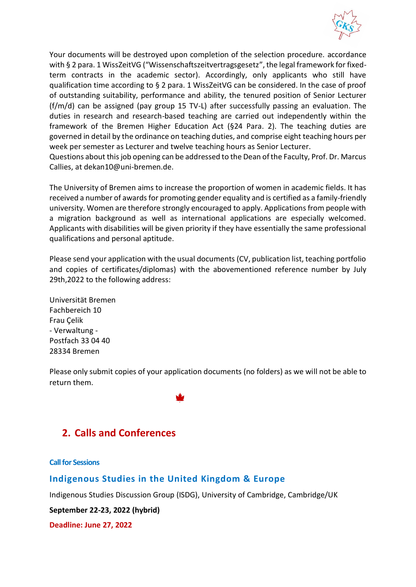

Your documents will be destroyed upon completion of the selection procedure. accordance with § 2 para. 1 WissZeitVG ("Wissenschaftszeitvertragsgesetz", the legal framework for fixedterm contracts in the academic sector). Accordingly, only applicants who still have qualification time according to § 2 para. 1 WissZeitVG can be considered. In the case of proof of outstanding suitability, performance and ability, the tenured position of Senior Lecturer (f/m/d) can be assigned (pay group 15 TV-L) after successfully passing an evaluation. The duties in research and research-based teaching are carried out independently within the framework of the Bremen Higher Education Act (§24 Para. 2). The teaching duties are governed in detail by the ordinance on teaching duties, and comprise eight teaching hours per week per semester as Lecturer and twelve teaching hours as Senior Lecturer.

Questions about this job opening can be addressed to the Dean of the Faculty, Prof. Dr. Marcus Callies, at dekan10@uni-bremen.de.

The University of Bremen aims to increase the proportion of women in academic fields. It has received a number of awards for promoting gender equality and is certified as a family-friendly university. Women are therefore strongly encouraged to apply. Applications from people with a migration background as well as international applications are especially welcomed. Applicants with disabilities will be given priority if they have essentially the same professional qualifications and personal aptitude.

Please send your application with the usual documents (CV, publication list, teaching portfolio and copies of certificates/diplomas) with the abovementioned reference number by July 29th,2022 to the following address:

Universität Bremen Fachbereich 10 Frau Çelik - Verwaltung - Postfach 33 04 40 28334 Bremen

Please only submit copies of your application documents (no folders) as we will not be able to return them.

# <span id="page-9-0"></span>**2. Calls and Conferences**

<span id="page-9-1"></span>**Call for Sessions**

### <span id="page-9-2"></span>**Indigenous Studies in the United Kingdom & Europe**

Indigenous Studies Discussion Group (ISDG), University of Cambridge, Cambridge/UK

**September 22-23, 2022 (hybrid)**

**Deadline: June 27, 2022**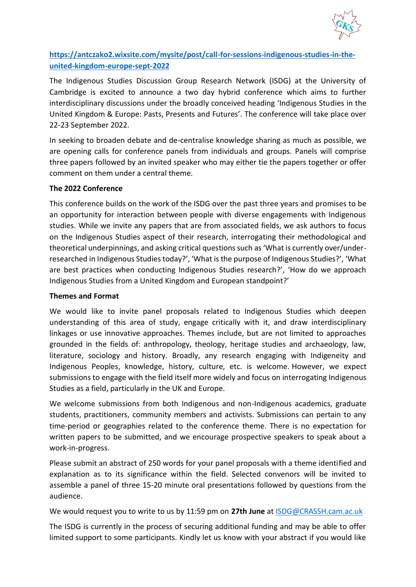

## **[https://antczako2.wixsite.com/mysite/post/call-for-sessions-indigenous-studies-in-the](https://antczako2.wixsite.com/mysite/post/call-for-sessions-indigenous-studies-in-the-united-kingdom-europe-sept-2022)[united-kingdom-europe-sept-2022](https://antczako2.wixsite.com/mysite/post/call-for-sessions-indigenous-studies-in-the-united-kingdom-europe-sept-2022)**

The Indigenous Studies Discussion Group Research Network (ISDG) at the University of Cambridge is excited to announce a two day hybrid conference which aims to further interdisciplinary discussions under the broadly conceived heading 'Indigenous Studies in the United Kingdom & Europe: Pasts, Presents and Futures'. The conference will take place over 22-23 September 2022.

In seeking to broaden debate and de-centralise knowledge sharing as much as possible, we are opening calls for conference panels from individuals and groups. Panels will comprise three papers followed by an invited speaker who may either tie the papers together or offer comment on them under a central theme.

### **The 2022 Conference**

This conference builds on the work of the ISDG over the past three years and promises to be an opportunity for interaction between people with diverse engagements with Indigenous studies. While we invite any papers that are from associated fields, we ask authors to focus on the Indigenous Studies aspect of their research, interrogating their methodological and theoretical underpinnings, and asking critical questions such as 'What is currently over/underresearched in Indigenous Studies today?', 'What is the purpose of Indigenous Studies?', 'What are best practices when conducting Indigenous Studies research?', 'How do we approach Indigenous Studies from a United Kingdom and European standpoint?'

### **Themes and Format**

We would like to invite panel proposals related to Indigenous Studies which deepen understanding of this area of study, engage critically with it, and draw interdisciplinary linkages or use innovative approaches. Themes include, but are not limited to approaches grounded in the fields of: anthropology, theology, heritage studies and archaeology, law, literature, sociology and history. Broadly, any research engaging with Indigeneity and Indigenous Peoples, knowledge, history, culture, etc. is welcome. However, we expect submissions to engage with the field itself more widely and focus on interrogating Indigenous Studies as a field, particularly in the UK and Europe.

We welcome submissions from both Indigenous and non-Indigenous academics, graduate students, practitioners, community members and activists. Submissions can pertain to any time-period or geographies related to the conference theme. There is no expectation for written papers to be submitted, and we encourage prospective speakers to speak about a work-in-progress.

Please submit an abstract of 250 words for your panel proposals with a theme identified and explanation as to its significance within the field. Selected convenors will be invited to assemble a panel of three 15-20 minute oral presentations followed by questions from the audience.

We would request you to write to us by 11:59 pm on **27th June** at [ISDG@CRASSH.cam.ac.uk](mailto:ISDG@CRASSH.cam.ac.uk)

The ISDG is currently in the process of securing additional funding and may be able to offer limited support to some participants. Kindly let us know with your abstract if you would like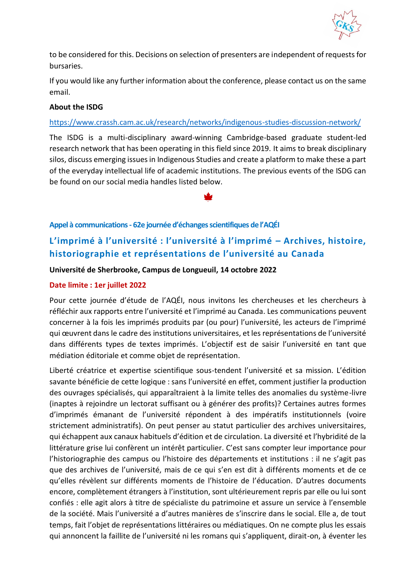

to be considered for this. Decisions on selection of presenters are independent of requests for bursaries.

If you would like any further information about the conference, please contact us on the same email.

### **About the ISDG**

### <https://www.crassh.cam.ac.uk/research/networks/indigenous-studies-discussion-network/>

The ISDG is a multi-disciplinary award-winning Cambridge-based graduate student-led research network that has been operating in this field since 2019. It aims to break disciplinary silos, discuss emerging issues in Indigenous Studies and create a platform to make these a part of the everyday intellectual life of academic institutions. The previous events of the ISDG can be found on our social media handles listed below.

### <span id="page-11-0"></span>**Appel à communications - 62e journée d'échanges scientifiques de l'AQÉI**

# <span id="page-11-1"></span>**L'imprimé à l'université : l'université à l'imprimé – Archives, histoire, historiographie et représentations de l'université au Canada**

### **Université de Sherbrooke, Campus de Longueuil, 14 octobre 2022**

### **Date limite : 1er juillet 2022**

Pour cette journée d'étude de l'AQÉI, nous invitons les chercheuses et les chercheurs à réfléchir aux rapports entre l'université et l'imprimé au Canada. Les communications peuvent concerner à la fois les imprimés produits par (ou pour) l'université, les acteurs de l'imprimé qui œuvrent dans le cadre des institutions universitaires, et les représentations de l'université dans différents types de textes imprimés. L'objectif est de saisir l'université en tant que médiation éditoriale et comme objet de représentation.

Liberté créatrice et expertise scientifique sous-tendent l'université et sa mission. L'édition savante bénéficie de cette logique : sans l'université en effet, comment justifier la production des ouvrages spécialisés, qui apparaîtraient à la limite telles des anomalies du système-livre (inaptes à rejoindre un lectorat suffisant ou à générer des profits)? Certaines autres formes d'imprimés émanant de l'université répondent à des impératifs institutionnels (voire strictement administratifs). On peut penser au statut particulier des archives universitaires, qui échappent aux canaux habituels d'édition et de circulation. La diversité et l'hybridité de la littérature grise lui confèrent un intérêt particulier. C'est sans compter leur importance pour l'historiographie des campus ou l'histoire des départements et institutions : il ne s'agit pas que des archives de l'université, mais de ce qui s'en est dit à différents moments et de ce qu'elles révèlent sur différents moments de l'histoire de l'éducation. D'autres documents encore, complètement étrangers à l'institution, sont ultérieurement repris par elle ou lui sont confiés : elle agit alors à titre de spécialiste du patrimoine et assure un service à l'ensemble de la société. Mais l'université a d'autres manières de s'inscrire dans le social. Elle a, de tout temps, fait l'objet de représentations littéraires ou médiatiques. On ne compte plus les essais qui annoncent la faillite de l'université ni les romans qui s'appliquent, dirait-on, à éventer les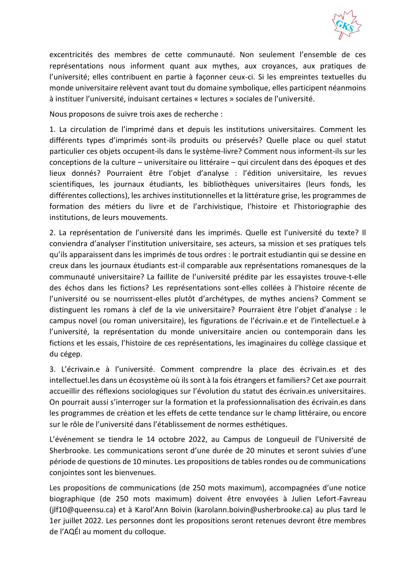

excentricités des membres de cette communauté. Non seulement l'ensemble de ces représentations nous informent quant aux mythes, aux croyances, aux pratiques de l'université; elles contribuent en partie à façonner ceux-ci. Si les empreintes textuelles du monde universitaire relèvent avant tout du domaine symbolique, elles participent néanmoins à instituer l'université, induisant certaines « lectures » sociales de l'université.

Nous proposons de suivre trois axes de recherche :

1. La circulation de l'imprimé dans et depuis les institutions universitaires. Comment les différents types d'imprimés sont-ils produits ou préservés? Quelle place ou quel statut particulier ces objets occupent-ils dans le système-livre? Comment nous informent-ils sur les conceptions de la culture – universitaire ou littéraire – qui circulent dans des époques et des lieux donnés? Pourraient être l'objet d'analyse : l'édition universitaire, les revues scientifiques, les journaux étudiants, les bibliothèques universitaires (leurs fonds, les différentes collections), les archives institutionnelles et la littérature grise, les programmes de formation des métiers du livre et de l'archivistique, l'histoire et l'historiographie des institutions, de leurs mouvements.

2. La représentation de l'université dans les imprimés. Quelle est l'université du texte? Il conviendra d'analyser l'institution universitaire, ses acteurs, sa mission et ses pratiques tels qu'ils apparaissent dans les imprimés de tous ordres : le portrait estudiantin qui se dessine en creux dans les journaux étudiants est-il comparable aux représentations romanesques de la communauté universitaire? La faillite de l'université prédite par les essayistes trouve-t-elle des échos dans les fictions? Les représentations sont-elles collées à l'histoire récente de l'université ou se nourrissent-elles plutôt d'archétypes, de mythes anciens? Comment se distinguent les romans à clef de la vie universitaire? Pourraient être l'objet d'analyse : le campus novel (ou roman universitaire), les figurations de l'écrivain.e et de l'intellectuel.e à l'université, la représentation du monde universitaire ancien ou contemporain dans les fictions et les essais, l'histoire de ces représentations, les imaginaires du collège classique et du cégep.

3. L'écrivain.e à l'université. Comment comprendre la place des écrivain.es et des intellectuel.les dans un écosystème où ils sont à la fois étrangers et familiers? Cet axe pourrait accueillir des réflexions sociologiques sur l'évolution du statut des écrivain.es universitaires. On pourrait aussi s'interroger sur la formation et la professionnalisation des écrivain.es dans les programmes de création et les effets de cette tendance sur le champ littéraire, ou encore sur le rôle de l'université dans l'établissement de normes esthétiques.

L'événement se tiendra le 14 octobre 2022, au Campus de Longueuil de l'Université de Sherbrooke. Les communications seront d'une durée de 20 minutes et seront suivies d'une période de questions de 10 minutes. Les propositions de tables rondes ou de communications conjointes sont les bienvenues.

Les propositions de communications (de 250 mots maximum), accompagnées d'une notice biographique (de 250 mots maximum) doivent être envoyées à Julien Lefort-Favreau (jlf10@queensu.ca) et à Karol'Ann Boivin (karolann.boivin@usherbrooke.ca) au plus tard le 1er juillet 2022. Les personnes dont les propositions seront retenues devront être membres de l'AQÉI au moment du colloque.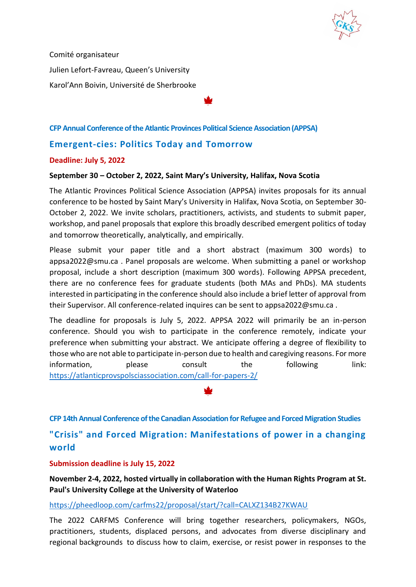

Comité organisateur Julien Lefort-Favreau, Queen's University Karol'Ann Boivin, Université de Sherbrooke

### <span id="page-13-0"></span>**CFP Annual Conference of the Atlantic Provinces Political Science Association (APPSA)**

### <span id="page-13-1"></span>**Emergent-cies: Politics Today and Tomorrow**

### **Deadline: July 5, 2022**

#### **September 30 – October 2, 2022, Saint Mary's University, Halifax, Nova Scotia**

The Atlantic Provinces Political Science Association (APPSA) invites proposals for its annual conference to be hosted by Saint Mary's University in Halifax, Nova Scotia, on September 30- October 2, 2022. We invite scholars, practitioners, activists, and students to submit paper, workshop, and panel proposals that explore this broadly described emergent politics of today and tomorrow theoretically, analytically, and empirically.

Please submit your paper title and a short abstract (maximum 300 words) to appsa2022@smu.ca . Panel proposals are welcome. When submitting a panel or workshop proposal, include a short description (maximum 300 words). Following APPSA precedent, there are no conference fees for graduate students (both MAs and PhDs). MA students interested in participating in the conference should also include a brief letter of approval from their Supervisor. All conference-related inquires can be sent to appsa2022@smu.ca .

The deadline for proposals is July 5, 2022. APPSA 2022 will primarily be an in-person conference. Should you wish to participate in the conference remotely, indicate your preference when submitting your abstract. We anticipate offering a degree of flexibility to those who are not able to participate in-person due to health and caregiving reasons. For more information, please consult the following link: <https://atlanticprovspolsciassociation.com/call-for-papers-2/>

<span id="page-13-2"></span>**CFP 14th Annual Conference of the Canadian Association for Refugee and Forced Migration Studies**

<span id="page-13-3"></span>**"Crisis" and Forced Migration: Manifestations of power in a changing world** 

### **Submission deadline is July 15, 2022**

**November 2-4, 2022, hosted virtually in collaboration with the Human Rights Program at St. Paul's University College at the University of Waterloo** 

<https://pheedloop.com/carfms22/proposal/start/?call=CALXZ134B27KWAU>

The 2022 CARFMS Conference will bring together researchers, policymakers, NGOs, practitioners, students, displaced persons, and advocates from diverse disciplinary and regional backgrounds to discuss how to claim, exercise, or resist power in responses to the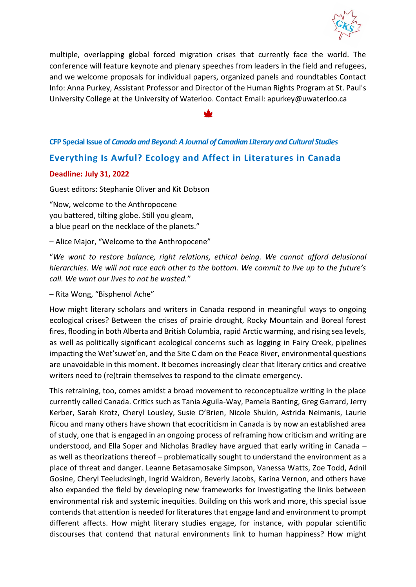

multiple, overlapping global forced migration crises that currently face the world. The conference will feature keynote and plenary speeches from leaders in the field and refugees, and we welcome proposals for individual papers, organized panels and roundtables Contact Info: Anna Purkey, Assistant Professor and Director of the Human Rights Program at St. Paul's University College at the University of Waterloo. Contact Email: apurkey@uwaterloo.ca

### <span id="page-14-0"></span>**CFP Special Issue of** *Canada and Beyond: A Journal of Canadian Literary and Cultural Studies*

### <span id="page-14-1"></span>**Everything Is Awful? Ecology and Affect in Literatures in Canada**

#### **Deadline: July 31, 2022**

Guest editors: Stephanie Oliver and Kit Dobson

"Now, welcome to the Anthropocene you battered, tilting globe. Still you gleam, a blue pearl on the necklace of the planets."

– Alice Major, "Welcome to the Anthropocene"

"*We want to restore balance, right relations, ethical being. We cannot afford delusional hierarchies. We will not race each other to the bottom. We commit to live up to the future's call. We want our lives to not be wasted.*"

#### – Rita Wong, "Bisphenol Ache"

How might literary scholars and writers in Canada respond in meaningful ways to ongoing ecological crises? Between the crises of prairie drought, Rocky Mountain and Boreal forest fires, flooding in both Alberta and British Columbia, rapid Arctic warming, and rising sea levels, as well as politically significant ecological concerns such as logging in Fairy Creek, pipelines impacting the Wet'suwet'en, and the Site C dam on the Peace River, environmental questions are unavoidable in this moment. It becomes increasingly clear that literary critics and creative writers need to (re)train themselves to respond to the climate emergency.

This retraining, too, comes amidst a broad movement to reconceptualize writing in the place currently called Canada. Critics such as Tania Aguila-Way, Pamela Banting, Greg Garrard, Jerry Kerber, Sarah Krotz, Cheryl Lousley, Susie O'Brien, Nicole Shukin, Astrida Neimanis, Laurie Ricou and many others have shown that ecocriticism in Canada is by now an established area of study, one that is engaged in an ongoing process of reframing how criticism and writing are understood, and Ella Soper and Nicholas Bradley have argued that early writing in Canada – as well as theorizations thereof – problematically sought to understand the environment as a place of threat and danger. Leanne Betasamosake Simpson, Vanessa Watts, Zoe Todd, Adnil Gosine, Cheryl Teelucksingh, Ingrid Waldron, Beverly Jacobs, Karina Vernon, and others have also expanded the field by developing new frameworks for investigating the links between environmental risk and systemic inequities. Building on this work and more, this special issue contends that attention is needed for literatures that engage land and environment to prompt different affects. How might literary studies engage, for instance, with popular scientific discourses that contend that natural environments link to human happiness? How might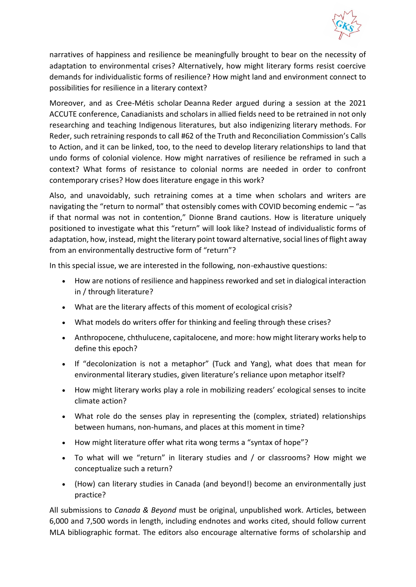

narratives of happiness and resilience be meaningfully brought to bear on the necessity of adaptation to environmental crises? Alternatively, how might literary forms resist coercive demands for individualistic forms of resilience? How might land and environment connect to possibilities for resilience in a literary context?

Moreover, and as Cree-Métis scholar Deanna Reder argued during a session at the 2021 ACCUTE conference, Canadianists and scholars in allied fields need to be retrained in not only researching and teaching Indigenous literatures, but also indigenizing literary methods. For Reder, such retraining responds to call #62 of the Truth and Reconciliation Commission's Calls to Action, and it can be linked, too, to the need to develop literary relationships to land that undo forms of colonial violence. How might narratives of resilience be reframed in such a context? What forms of resistance to colonial norms are needed in order to confront contemporary crises? How does literature engage in this work?

Also, and unavoidably, such retraining comes at a time when scholars and writers are navigating the "return to normal" that ostensibly comes with COVID becoming endemic – "as if that normal was not in contention," Dionne Brand cautions. How is literature uniquely positioned to investigate what this "return" will look like? Instead of individualistic forms of adaptation, how, instead, might the literary point toward alternative, social lines of flight away from an environmentally destructive form of "return"?

In this special issue, we are interested in the following, non-exhaustive questions:

- How are notions of resilience and happiness reworked and set in dialogical interaction in / through literature?
- What are the literary affects of this moment of ecological crisis?
- What models do writers offer for thinking and feeling through these crises?
- Anthropocene, chthulucene, capitalocene, and more: how might literary works help to define this epoch?
- If "decolonization is not a metaphor" (Tuck and Yang), what does that mean for environmental literary studies, given literature's reliance upon metaphor itself?
- How might literary works play a role in mobilizing readers' ecological senses to incite climate action?
- What role do the senses play in representing the (complex, striated) relationships between humans, non-humans, and places at this moment in time?
- How might literature offer what rita wong terms a "syntax of hope"?
- To what will we "return" in literary studies and / or classrooms? How might we conceptualize such a return?
- (How) can literary studies in Canada (and beyond!) become an environmentally just practice?

All submissions to *Canada & Beyond* must be original, unpublished work. Articles, between 6,000 and 7,500 words in length, including endnotes and works cited, should follow current MLA bibliographic format. The editors also encourage alternative forms of scholarship and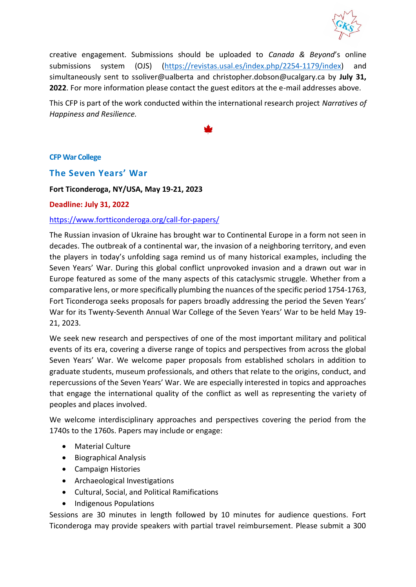

creative engagement. Submissions should be uploaded to *Canada & Beyond*'s online submissions system (OJS) [\(https://revistas.usal.es/index.php/2254-1179/index\)](https://revistas.usal.es/index.php/2254-1179/index) and simultaneously sent to ssoliver@ualberta and christopher.dobson@ucalgary.ca by **July 31, 2022**. For more information please contact the guest editors at the e-mail addresses above.

This CFP is part of the work conducted within the international research project *Narratives of Happiness and Resilience.*

### <span id="page-16-0"></span>**CFP War College**

### <span id="page-16-1"></span>**The Seven Years' War**

**Fort Ticonderoga, NY/USA, May 19-21, 2023**

#### **Deadline: July 31, 2022**

### <https://www.fortticonderoga.org/call-for-papers/>

The Russian invasion of Ukraine has brought war to Continental Europe in a form not seen in decades. The outbreak of a continental war, the invasion of a neighboring territory, and even the players in today's unfolding saga remind us of many historical examples, including the Seven Years' War. During this global conflict unprovoked invasion and a drawn out war in Europe featured as some of the many aspects of this cataclysmic struggle. Whether from a comparative lens, or more specifically plumbing the nuances of the specific period 1754-1763, Fort Ticonderoga seeks proposals for papers broadly addressing the period the Seven Years' War for its Twenty-Seventh Annual War College of the Seven Years' War to be held May 19- 21, 2023.

We seek new research and perspectives of one of the most important military and political events of its era, covering a diverse range of topics and perspectives from across the global Seven Years' War. We welcome paper proposals from established scholars in addition to graduate students, museum professionals, and others that relate to the origins, conduct, and repercussions of the Seven Years' War. We are especially interested in topics and approaches that engage the international quality of the conflict as well as representing the variety of peoples and places involved.

We welcome interdisciplinary approaches and perspectives covering the period from the 1740s to the 1760s. Papers may include or engage:

- Material Culture
- Biographical Analysis
- Campaign Histories
- Archaeological Investigations
- Cultural, Social, and Political Ramifications
- Indigenous Populations

Sessions are 30 minutes in length followed by 10 minutes for audience questions. Fort Ticonderoga may provide speakers with partial travel reimbursement. Please submit a 300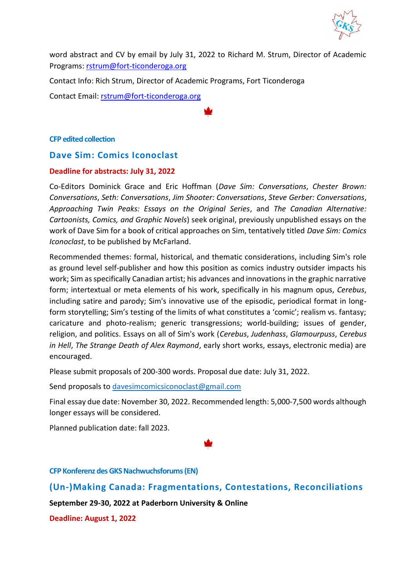

word abstract and CV by email by July 31, 2022 to Richard M. Strum, Director of Academic Programs: [rstrum@fort-ticonderoga.org](mailto:rstrum@fort-ticonderoga.org)

Contact Info: Rich Strum, Director of Academic Programs, Fort Ticonderoga

Contact Email: [rstrum@fort-ticonderoga.org](mailto:rstrum@fort-ticonderoga.org)

<span id="page-17-0"></span>**CFP edited collection**

### <span id="page-17-1"></span>**Dave Sim: Comics Iconoclast**

### **Deadline for abstracts: July 31, 2022**

Co-Editors Dominick Grace and Eric Hoffman (*Dave Sim: Conversations*, *Chester Brown: Conversations*, *Seth: Conversations*, *Jim Shooter: Conversations*, *Steve Gerber: Conversations*, *Approaching Twin Peaks: Essays on the Original Series*, and *The Canadian Alternative: Cartoonists, Comics, and Graphic Novels*) seek original, previously unpublished essays on the work of Dave Sim for a book of critical approaches on Sim, tentatively titled *Dave Sim: Comics Iconoclast*, to be published by McFarland.

Recommended themes: formal, historical, and thematic considerations, including Sim's role as ground level self-publisher and how this position as comics industry outsider impacts his work; Sim as specifically Canadian artist; his advances and innovations in the graphic narrative form; intertextual or meta elements of his work, specifically in his magnum opus, *Cerebus*, including satire and parody; Sim's innovative use of the episodic, periodical format in longform storytelling; Sim's testing of the limits of what constitutes a 'comic'; realism vs. fantasy; caricature and photo-realism; generic transgressions; world-building; issues of gender, religion, and politics. Essays on all of Sim's work (*Cerebus*, *Judenhass*, *Glamourpuss*, *Cerebus in Hell*, *The Strange Death of Alex Raymond*, early short works, essays, electronic media) are encouraged.

Please submit proposals of 200-300 words. Proposal due date: July 31, 2022.

Send proposals to [davesimcomicsiconoclast@gmail.com](mailto:davesimcomicsiconoclast@gmail.com)

Final essay due date: November 30, 2022. Recommended length: 5,000-7,500 words although longer essays will be considered.

Planned publication date: fall 2023.

<span id="page-17-2"></span>**CFP Konferenz des GKS Nachwuchsforums (EN)**

<span id="page-17-3"></span>**(Un-)Making Canada: Fragmentations, Contestations, Reconciliations**

**September 29-30, 2022 at Paderborn University & Online**

**Deadline: August 1, 2022**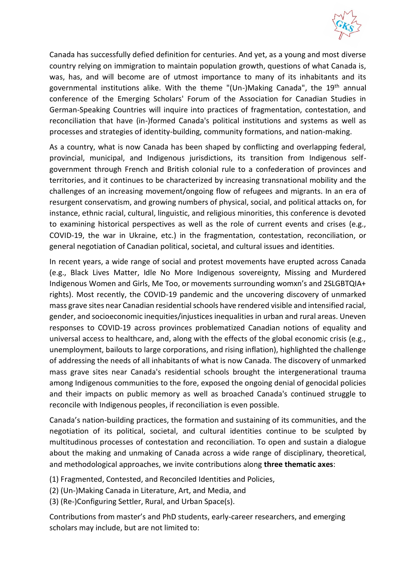

Canada has successfully defied definition for centuries. And yet, as a young and most diverse country relying on immigration to maintain population growth, questions of what Canada is, was, has, and will become are of utmost importance to many of its inhabitants and its governmental institutions alike. With the theme "(Un-)Making Canada", the 19<sup>th</sup> annual conference of the Emerging Scholars' Forum of the Association for Canadian Studies in German-Speaking Countries will inquire into practices of fragmentation, contestation, and reconciliation that have (in-)formed Canada's political institutions and systems as well as processes and strategies of identity-building, community formations, and nation-making.

As a country, what is now Canada has been shaped by conflicting and overlapping federal, provincial, municipal, and Indigenous jurisdictions, its transition from Indigenous selfgovernment through French and British colonial rule to a confederation of provinces and territories, and it continues to be characterized by increasing transnational mobility and the challenges of an increasing movement/ongoing flow of refugees and migrants. In an era of resurgent conservatism, and growing numbers of physical, social, and political attacks on, for instance, ethnic racial, cultural, linguistic, and religious minorities, this conference is devoted to examining historical perspectives as well as the role of current events and crises (e.g., COVID-19, the war in Ukraine, etc.) in the fragmentation, contestation, reconciliation, or general negotiation of Canadian political, societal, and cultural issues and identities.

In recent years, a wide range of social and protest movements have erupted across Canada (e.g., Black Lives Matter, Idle No More Indigenous sovereignty, Missing and Murdered Indigenous Women and Girls, Me Too, or movements surrounding womxn's and 2SLGBTQIA+ rights). Most recently, the COVID-19 pandemic and the uncovering discovery of unmarked mass grave sites near Canadian residential schools have rendered visible and intensified racial, gender, and socioeconomic inequities/injustices inequalities in urban and rural areas. Uneven responses to COVID-19 across provinces problematized Canadian notions of equality and universal access to healthcare, and, along with the effects of the global economic crisis (e.g., unemployment, bailouts to large corporations, and rising inflation), highlighted the challenge of addressing the needs of all inhabitants of what is now Canada. The discovery of unmarked mass grave sites near Canada's residential schools brought the intergenerational trauma among Indigenous communities to the fore, exposed the ongoing denial of genocidal policies and their impacts on public memory as well as broached Canada's continued struggle to reconcile with Indigenous peoples, if reconciliation is even possible.

Canada's nation-building practices, the formation and sustaining of its communities, and the negotiation of its political, societal, and cultural identities continue to be sculpted by multitudinous processes of contestation and reconciliation. To open and sustain a dialogue about the making and unmaking of Canada across a wide range of disciplinary, theoretical, and methodological approaches, we invite contributions along **three thematic axes**:

- (1) Fragmented, Contested, and Reconciled Identities and Policies,
- (2) (Un-)Making Canada in Literature, Art, and Media, and
- (3) (Re-)Configuring Settler, Rural, and Urban Space(s).

Contributions from master's and PhD students, early-career researchers, and emerging scholars may include, but are not limited to: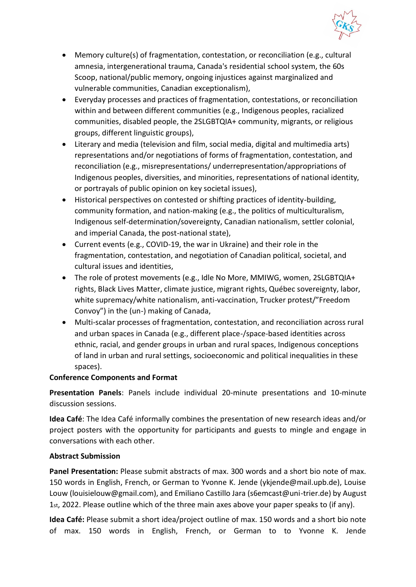

- Memory culture(s) of fragmentation, contestation, or reconciliation (e.g., cultural amnesia, intergenerational trauma, Canada's residential school system, the 60s Scoop, national/public memory, ongoing injustices against marginalized and vulnerable communities, Canadian exceptionalism),
- Everyday processes and practices of fragmentation, contestations, or reconciliation within and between different communities (e.g., Indigenous peoples, racialized communities, disabled people, the 2SLGBTQIA+ community, migrants, or religious groups, different linguistic groups),
- Literary and media (television and film, social media, digital and multimedia arts) representations and/or negotiations of forms of fragmentation, contestation, and reconciliation (e.g., misrepresentations/ underrepresentation/appropriations of Indigenous peoples, diversities, and minorities, representations of national identity, or portrayals of public opinion on key societal issues),
- Historical perspectives on contested or shifting practices of identity-building, community formation, and nation-making (e.g., the politics of multiculturalism, Indigenous self-determination/sovereignty, Canadian nationalism, settler colonial, and imperial Canada, the post-national state),
- Current events (e.g., COVID-19, the war in Ukraine) and their role in the fragmentation, contestation, and negotiation of Canadian political, societal, and cultural issues and identities,
- The role of protest movements (e.g., Idle No More, MMIWG, women, 2SLGBTQIA+ rights, Black Lives Matter, climate justice, migrant rights, Québec sovereignty, labor, white supremacy/white nationalism, anti-vaccination, Trucker protest/"Freedom Convoy") in the (un-) making of Canada,
- Multi-scalar processes of fragmentation, contestation, and reconciliation across rural and urban spaces in Canada (e.g., different place-/space-based identities across ethnic, racial, and gender groups in urban and rural spaces, Indigenous conceptions of land in urban and rural settings, socioeconomic and political inequalities in these spaces).

### **Conference Components and Format**

**Presentation Panels**: Panels include individual 20-minute presentations and 10-minute discussion sessions.

**Idea Café**: The Idea Café informally combines the presentation of new research ideas and/or project posters with the opportunity for participants and guests to mingle and engage in conversations with each other.

### **Abstract Submission**

**Panel Presentation:** Please submit abstracts of max. 300 words and a short bio note of max. 150 words in English, French, or German to Yvonne K. Jende (ykjende@mail.upb.de), Louise Louw (louisielouw@gmail.com), and Emiliano Castillo Jara (s6emcast@uni-trier.de) by August 1st, 2022. Please outline which of the three main axes above your paper speaks to (if any).

**Idea Café:** Please submit a short idea/project outline of max. 150 words and a short bio note of max. 150 words in English, French, or German to to Yvonne K. Jende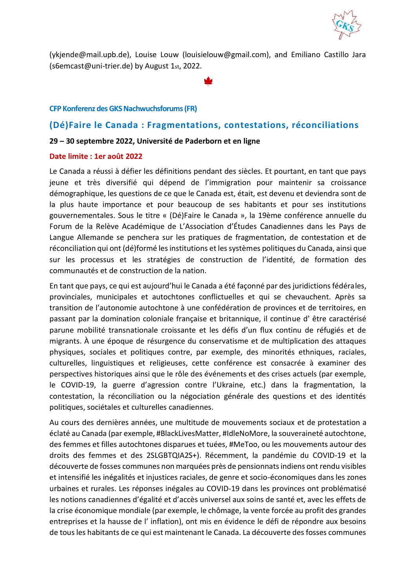

(ykjende@mail.upb.de), Louise Louw (louisielouw@gmail.com), and Emiliano Castillo Jara (s6emcast@uni-trier.de) by August 1st, 2022.

#### <span id="page-20-0"></span>**CFP Konferenz des GKS Nachwuchsforums (FR)**

### <span id="page-20-1"></span>**(Dé)Faire le Canada : Fragmentations, contestations, réconciliations**

#### **29 – 30 septembre 2022, Université de Paderborn et en ligne**

#### **Date limite : 1er août 2022**

Le Canada a réussi à défier les définitions pendant des siècles. Et pourtant, en tant que pays jeune et très diversifié qui dépend de l'immigration pour maintenir sa croissance démographique, les questions de ce que le Canada est, était, est devenu et deviendra sont de la plus haute importance et pour beaucoup de ses habitants et pour ses institutions gouvernementales. Sous le titre « (Dé)Faire le Canada », la 19ème conférence annuelle du Forum de la Relève Académique de L'Association d'Études Canadiennes dans les Pays de Langue Allemande se penchera sur les pratiques de fragmentation, de contestation et de réconciliation qui ont (dé)formé les institutions et les systèmes politiques du Canada, ainsi que sur les processus et les stratégies de construction de l'identité, de formation des communautés et de construction de la nation.

En tant que pays, ce qui est aujourd'hui le Canada a été façonné par des juridictions fédérales, provinciales, municipales et autochtones conflictuelles et qui se chevauchent. Après sa transition de l'autonomie autochtone à une confédération de provinces et de territoires, en passant par la domination coloniale française et britannique, il continue d' être caractérisé parune mobilité transnationale croissante et les défis d'un flux continu de réfugiés et de migrants. À une époque de résurgence du conservatisme et de multiplication des attaques physiques, sociales et politiques contre, par exemple, des minorités ethniques, raciales, culturelles, linguistiques et religieuses, cette conférence est consacrée à examiner des perspectives historiques ainsi que le rôle des événements et des crises actuels (par exemple, le COVID-19, la guerre d'agression contre l'Ukraine, etc.) dans la fragmentation, la contestation, la réconciliation ou la négociation générale des questions et des identités politiques, sociétales et culturelles canadiennes.

Au cours des dernières années, une multitude de mouvements sociaux et de protestation a éclaté au Canada (par exemple, #BlackLivesMatter, #IdleNoMore, la souveraineté autochtone, des femmes et filles autochtones disparues et tuées, #MeToo, ou les mouvements autour des droits des femmes et des 2SLGBTQIA2S+). Récemment, la pandémie du COVID-19 et la découverte de fosses communes non marquées près de pensionnats indiens ont rendu visibles et intensifié les inégalités et injustices raciales, de genre et socio-économiques dans les zones urbaines et rurales. Les réponses inégales au COVID-19 dans les provinces ont problématisé les notions canadiennes d'égalité et d'accès universel aux soins de santé et, avec les effets de la crise économique mondiale (par exemple, le chômage, la vente forcée au profit des grandes entreprises et la hausse de l' inflation), ont mis en évidence le défi de répondre aux besoins de tous les habitants de ce qui est maintenant le Canada. La découverte des fosses communes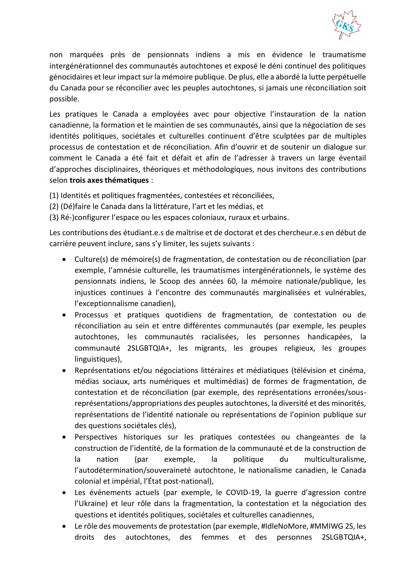

non marquées près de pensionnats indiens a mis en évidence le traumatisme intergénérationnel des communautés autochtones et exposé le déni continuel des politiques génocidaires et leur impact sur la mémoire publique. De plus, elle a abordé la lutte perpétuelle du Canada pour se réconcilier avec les peuples autochtones, si jamais une réconciliation soit possible.

Les pratiques le Canada a employées avec pour objective l'instauration de la nation canadienne, la formation et le maintien de ses communautés, ainsi que la négociation de ses identités politiques, sociétales et culturelles continuent d'être sculptées par de multiples processus de contestation et de réconciliation. Afin d'ouvrir et de soutenir un dialogue sur comment le Canada a été fait et défait et afin de l'adresser à travers un large éventail d'approches disciplinaires, théoriques et méthodologiques, nous invitons des contributions selon **trois axes thématiques** :

(1) Identités et politiques fragmentées, contestées et réconciliées,

- (2) (Dé)faire le Canada dans la littérature, l'art et les médias, et
- (3) Ré-)configurer l'espace ou les espaces coloniaux, ruraux et urbains.

Les contributions des étudiant.e.s de maîtrise et de doctorat et des chercheur.e.s en début de carrière peuvent inclure, sans s'y limiter, les sujets suivants :

- Culture(s) de mémoire(s) de fragmentation, de contestation ou de réconciliation (par exemple, l'amnésie culturelle, les traumatismes intergénérationnels, le système des pensionnats indiens, le Scoop des années 60, la mémoire nationale/publique, les injustices continues à l'encontre des communautés marginalisées et vulnérables, l'exceptionnalisme canadien),
- Processus et pratiques quotidiens de fragmentation, de contestation ou de réconciliation au sein et entre différentes communautés (par exemple, les peuples autochtones, les communautés racialisées, les personnes handicapées, la communauté 2SLGBTQIA+, les migrants, les groupes religieux, les groupes linguistiques),
- Représentations et/ou négociations littéraires et médiatiques (télévision et cinéma, médias sociaux, arts numériques et multimédias) de formes de fragmentation, de contestation et de réconciliation (par exemple, des représentations erronées/sousreprésentations/appropriations des peuples autochtones, la diversité et des minorités, représentations de l'identité nationale ou représentations de l'opinion publique sur des questions sociétales clés),
- Perspectives historiques sur les pratiques contestées ou changeantes de la construction de l'identité, de la formation de la communauté et de la construction de la nation (par exemple, la politique du multiculturalisme, l'autodétermination/souveraineté autochtone, le nationalisme canadien, le Canada colonial et impérial, l'État post-national),
- Les événements actuels (par exemple, le COVID-19, la guerre d'agression contre l'Ukraine) et leur rôle dans la fragmentation, la contestation et la négociation des questions et identités politiques, sociétales et culturelles canadiennes,
- Le rôle des mouvements de protestation (par exemple, #IdleNoMore, #MMIWG 2S, les droits des autochtones, des femmes et des personnes 2SLGBTQIA+,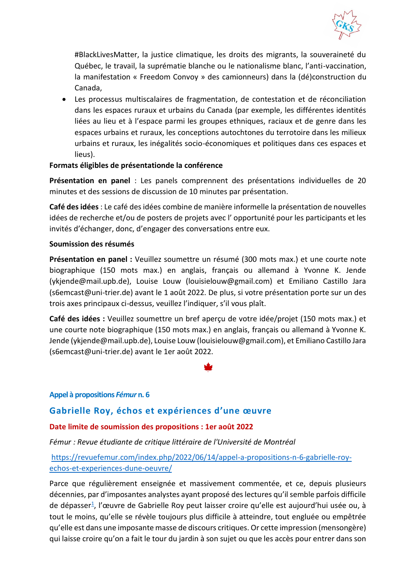

#BlackLivesMatter, la justice climatique, les droits des migrants, la souveraineté du Québec, le travail, la suprématie blanche ou le nationalisme blanc, l'anti-vaccination, la manifestation « Freedom Convoy » des camionneurs) dans la (dé)construction du Canada,

• Les processus multiscalaires de fragmentation, de contestation et de réconciliation dans les espaces ruraux et urbains du Canada (par exemple, les différentes identités liées au lieu et à l'espace parmi les groupes ethniques, raciaux et de genre dans les espaces urbains et ruraux, les conceptions autochtones du terrotoire dans les milieux urbains et ruraux, les inégalités socio-économiques et politiques dans ces espaces et lieus).

### **Formats éligibles de présentationde la conférence**

**Présentation en panel** : Les panels comprennent des présentations individuelles de 20 minutes et des sessions de discussion de 10 minutes par présentation.

**Café des idées** : Le café des idées combine de manière informelle la présentation de nouvelles idées de recherche et/ou de posters de projets avec l' opportunité pour les participants et les invités d'échanger, donc, d'engager des conversations entre eux.

### **Soumission des résumés**

**Présentation en panel :** Veuillez soumettre un résumé (300 mots max.) et une courte note biographique (150 mots max.) en anglais, français ou allemand à Yvonne K. Jende (ykjende@mail.upb.de), Louise Louw (louisielouw@gmail.com) et Emiliano Castillo Jara (s6emcast@uni-trier.de) avant le 1 août 2022. De plus, si votre présentation porte sur un des trois axes principaux ci-dessus, veuillez l'indiquer, s'il vous plaît.

**Café des idées :** Veuillez soumettre un bref aperçu de votre idée/projet (150 mots max.) et une courte note biographique (150 mots max.) en anglais, français ou allemand à Yvonne K. Jende (ykjende@mail.upb.de), Louise Louw (louisielouw@gmail.com), et Emiliano Castillo Jara (s6emcast@uni-trier.de) avant le 1er août 2022.

### <span id="page-22-0"></span>**Appel à propositions** *Fémur* **n. 6**

### <span id="page-22-1"></span>**Gabrielle Roy, échos et expériences d'une œuvre**

### **Date limite de soumission des propositions : 1er août 2022**

### *Fémur : Revue étudiante de critique littéraire de l'Université de Montréal*

### [https://revuefemur.com/index.php/2022/06/14/appel-a-propositions-n-6-gabrielle-roy](https://revuefemur.com/index.php/2022/06/14/appel-a-propositions-n-6-gabrielle-roy-echos-et-experiences-dune-oeuvre/)[echos-et-experiences-dune-oeuvre/](https://revuefemur.com/index.php/2022/06/14/appel-a-propositions-n-6-gabrielle-roy-echos-et-experiences-dune-oeuvre/)

Parce que régulièrement enseignée et massivement commentée, et ce, depuis plusieurs décennies, par d'imposantes analystes ayant proposé des lectures qu'il semble parfois difficile de dépasser<sup>[1](https://revuefemur.com/index.php/2022/06/14/appel-a-propositions-n-6-gabrielle-roy-echos-et-experiences-dune-oeuvre/#fn1)</sup>, l'œuvre de Gabrielle Roy peut laisser croire qu'elle est aujourd'hui usée ou, à tout le moins, qu'elle se révèle toujours plus difficile à atteindre, tout engluée ou empêtrée qu'elle est dans une imposante masse de discours critiques. Or cette impression (mensongère) qui laisse croire qu'on a fait le tour du jardin à son sujet ou que les accès pour entrer dans son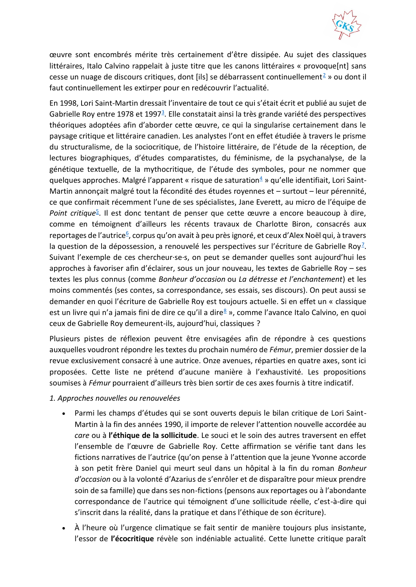

œuvre sont encombrés mérite très certainement d'être dissipée. Au sujet des classiques littéraires, Italo Calvino rappelait à juste titre que les canons littéraires « provoque[nt] sans cesse un nuage de discours critiques, dont [ils] se débarrassent continuellement<sup>[2](https://revuefemur.com/index.php/2022/06/14/appel-a-propositions-n-6-gabrielle-roy-echos-et-experiences-dune-oeuvre/#fn2)</sup> » ou dont il faut continuellement les extirper pour en redécouvrir l'actualité.

En 1998, Lori Saint-Martin dressait l'inventaire de tout ce qui s'était écrit et publié au sujet de Gabrielle Roy entre 1978 et 1997<sup>3</sup>[.](https://revuefemur.com/index.php/2022/06/14/appel-a-propositions-n-6-gabrielle-roy-echos-et-experiences-dune-oeuvre/#fn3) Elle constatait ainsi la très grande variété des perspectives théoriques adoptées afin d'aborder cette œuvre, ce qui la singularise certainement dans le paysage critique et littéraire canadien. Les analystes l'ont en effet étudiée à travers le prisme du structuralisme, de la sociocritique, de l'histoire littéraire, de l'étude de la réception, de lectures biographiques, d'études comparatistes, du féminisme, de la psychanalyse, de la génétique textuelle, de la mythocritique, de l'étude des symboles, pour ne nommer que quelques approches. Malgré l'apparent « risque de saturation $4 \times 9$  $4 \times 9$  qu'elle identifiait, Lori Saint-Martin annonçait malgré tout la fécondité des études royennes et – surtout – leur pérennité, ce que confirmait récemment l'une de ses spécialistes, Jane Everett, au micro de l'équipe de Point critique<sup>[5](https://revuefemur.com/index.php/2022/06/14/appel-a-propositions-n-6-gabrielle-roy-echos-et-experiences-dune-oeuvre/#fn5)</sup>. Il est donc tentant de penser que cette œuvre a encore beaucoup à dire, comme en témoignent d'ailleurs les récents travaux de Charlotte Biron, consacrés aux reportages de l'autrice<sup>[6](https://revuefemur.com/index.php/2022/06/14/appel-a-propositions-n-6-gabrielle-roy-echos-et-experiences-dune-oeuvre/#fn6)</sup>, corpus qu'on avait à peu près ignoré, et ceux d'Alex Noël qui, à travers la question de la dépossession, a renouvelé les perspectives sur l'écriture de Gabrielle Roy<sup>[7](https://revuefemur.com/index.php/2022/06/14/appel-a-propositions-n-6-gabrielle-roy-echos-et-experiences-dune-oeuvre/#fn7)</sup>. Suivant l'exemple de ces chercheur·se·s, on peut se demander quelles sont aujourd'hui les approches à favoriser afin d'éclairer, sous un jour nouveau, les textes de Gabrielle Roy – ses textes les plus connus (comme *Bonheur d'occasion* ou *La détresse et l'enchantement*) et les moins commentés (ses contes, sa correspondance, ses essais, ses discours). On peut aussi se demander en quoi l'écriture de Gabrielle Roy est toujours actuelle. Si en effet un « classique est un livre qui n'a jamais fini de dire ce qu'il a dire<sup>[8](https://revuefemur.com/index.php/2022/06/14/appel-a-propositions-n-6-gabrielle-roy-echos-et-experiences-dune-oeuvre/#fn8)</sup> », comme l'avance Italo Calvino, en quoi ceux de Gabrielle Roy demeurent-ils, aujourd'hui, classiques ?

Plusieurs pistes de réflexion peuvent être envisagées afin de répondre à ces questions auxquelles voudront répondre les textes du prochain numéro de *Fémur*, premier dossier de la revue exclusivement consacré à une autrice. Onze avenues, réparties en quatre axes, sont ici proposées. Cette liste ne prétend d'aucune manière à l'exhaustivité. Les propositions soumises à *Fémur* pourraient d'ailleurs très bien sortir de ces axes fournis à titre indicatif.

### *1. Approches nouvelles ou renouvelées*

- Parmi les champs d'études qui se sont ouverts depuis le bilan critique de Lori Saint-Martin à la fin des années 1990, il importe de relever l'attention nouvelle accordée au *care* ou à **l'éthique de la sollicitude**. Le souci et le soin des autres traversent en effet l'ensemble de l'œuvre de Gabrielle Roy. Cette affirmation se vérifie tant dans les fictions narratives de l'autrice (qu'on pense à l'attention que la jeune Yvonne accorde à son petit frère Daniel qui meurt seul dans un hôpital à la fin du roman *Bonheur d'occasion* ou à la volonté d'Azarius de s'enrôler et de disparaître pour mieux prendre soin de sa famille) que dans ses non-fictions (pensons aux reportages ou à l'abondante correspondance de l'autrice qui témoignent d'une sollicitude réelle, c'est-à-dire qui s'inscrit dans la réalité, dans la pratique et dans l'éthique de son écriture).
- À l'heure où l'urgence climatique se fait sentir de manière toujours plus insistante, l'essor de **l'écocritique** révèle son indéniable actualité. Cette lunette critique paraît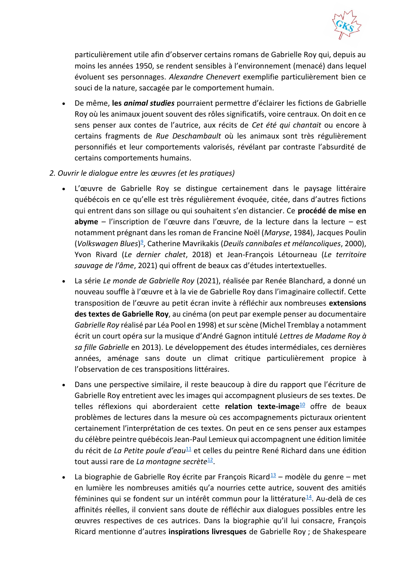

particulièrement utile afin d'observer certains romans de Gabrielle Roy qui, depuis au moins les années 1950, se rendent sensibles à l'environnement (menacé) dans lequel évoluent ses personnages. *Alexandre Chenevert* exemplifie particulièrement bien ce souci de la nature, saccagée par le comportement humain.

- De même, **les** *animal studies* pourraient permettre d'éclairer les fictions de Gabrielle Roy où les animaux jouent souvent des rôles significatifs, voire centraux. On doit en ce sens penser aux contes de l'autrice, aux récits de *Cet été qui chantait* ou encore à certains fragments de *Rue Deschambault* où les animaux sont très régulièrement personnifiés et leur comportements valorisés, révélant par contraste l'absurdité de certains comportements humains.
- *2. Ouvrir le dialogue entre les œuvres (et les pratiques)*
	- L'œuvre de Gabrielle Roy se distingue certainement dans le paysage littéraire québécois en ce qu'elle est très régulièrement évoquée, citée, dans d'autres fictions qui entrent dans son sillage ou qui souhaitent s'en distancier. Ce **procédé de mise en abyme** – l'inscription de l'œuvre dans l'œuvre, de la lecture dans la lecture – est notamment prégnant dans les roman de Francine Noël (*Maryse*, 1984), Jacques Poulin (*Volkswagen Blues*) 9 [,](https://revuefemur.com/index.php/2022/06/14/appel-a-propositions-n-6-gabrielle-roy-echos-et-experiences-dune-oeuvre/#fn9) Catherine Mavrikakis (*Deuils cannibales et mélancoliques*, 2000), Yvon Rivard (*Le dernier chalet*, 2018) et Jean-François Létourneau (*Le territoire sauvage de l'âme*, 2021) qui offrent de beaux cas d'études intertextuelles.
	- La série *Le monde de Gabrielle Roy* (2021), réalisée par Renée Blanchard, a donné un nouveau souffle à l'œuvre et à la vie de Gabrielle Roy dans l'imaginaire collectif. Cette transposition de l'œuvre au petit écran invite à réfléchir aux nombreuses **extensions des textes de Gabrielle Roy**, au cinéma (on peut par exemple penser au documentaire *Gabrielle Roy* réalisé par Léa Pool en 1998) et sur scène (Michel Tremblay a notamment écrit un court opéra sur la musique d'André Gagnon intitulé *Lettres de Madame Roy à sa fille Gabrielle* en 2013). Le développement des études intermédiales, ces dernières années, aménage sans doute un climat critique particulièrement propice à l'observation de ces transpositions littéraires.
	- Dans une perspective similaire, il reste beaucoup à dire du rapport que l'écriture de Gabrielle Roy entretient avec les images qui accompagnent plusieurs de ses textes. De telles réflexions qui aborderaient cette **relation texte-image**[10](https://revuefemur.com/index.php/2022/06/14/appel-a-propositions-n-6-gabrielle-roy-echos-et-experiences-dune-oeuvre/#fn10) offre de beaux problèmes de lectures dans la mesure où ces accompagnements picturaux orientent certainement l'interprétation de ces textes. On peut en ce sens penser aux estampes du célèbre peintre québécois Jean-Paul Lemieux qui accompagnent une édition limitée du récit de *La Petite poule d'eau*<sup>[11](https://revuefemur.com/index.php/2022/06/14/appel-a-propositions-n-6-gabrielle-roy-echos-et-experiences-dune-oeuvre/#fn11)</sup> et celles du peintre René Richard dans une édition tout aussi rare de *La montagne secrète*<sup>[12](https://revuefemur.com/index.php/2022/06/14/appel-a-propositions-n-6-gabrielle-roy-echos-et-experiences-dune-oeuvre/#fn12)</sup>.
	- La biographie de Gabrielle Roy écrite par François Ricard $\frac{13}{2}$  $\frac{13}{2}$  $\frac{13}{2}$  modèle du genre met en lumière les nombreuses amitiés qu'a nourries cette autrice, souvent des amitiés féminines qui se fondent sur un intérêt commun pour la littérature $14$ . Au-delà de ces affinités réelles, il convient sans doute de réfléchir aux dialogues possibles entre les œuvres respectives de ces autrices. Dans la biographie qu'il lui consacre, François Ricard mentionne d'autres **inspirations livresques** de Gabrielle Roy ; de Shakespeare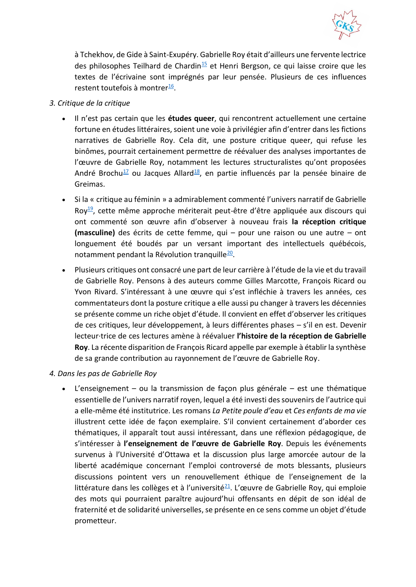

à Tchekhov, de Gide à Saint-Exupéry. Gabrielle Roy était d'ailleurs une fervente lectrice des philosophes Teilhard de Chardin<sup>[15](https://revuefemur.com/index.php/2022/06/14/appel-a-propositions-n-6-gabrielle-roy-echos-et-experiences-dune-oeuvre/#fn15)</sup> et Henri Bergson, ce qui laisse croire que les textes de l'écrivaine sont imprégnés par leur pensée. Plusieurs de ces influences restent toutefois à montrer<sup>[16](https://revuefemur.com/index.php/2022/06/14/appel-a-propositions-n-6-gabrielle-roy-echos-et-experiences-dune-oeuvre/#fn16)</sup>.

- *3. Critique de la critique*
	- Il n'est pas certain que les **études queer**, qui rencontrent actuellement une certaine fortune en études littéraires, soient une voie à privilégier afin d'entrer dans les fictions narratives de Gabrielle Roy. Cela dit, une posture critique queer, qui refuse les binômes, pourrait certainement permettre de réévaluer des analyses importantes de l'œuvre de Gabrielle Roy, notamment les lectures structuralistes qu'ont proposées André Brochu<sup>[17](https://revuefemur.com/index.php/2022/06/14/appel-a-propositions-n-6-gabrielle-roy-echos-et-experiences-dune-oeuvre/#fn17)</sup> ou Jacques Allard<sup>[18](https://revuefemur.com/index.php/2022/06/14/appel-a-propositions-n-6-gabrielle-roy-echos-et-experiences-dune-oeuvre/#fn18)</sup>, en partie influencés par la pensée binaire de Greimas.
	- Si la « critique au féminin » a admirablement commenté l'univers narratif de Gabrielle Roy<sup>[19](https://revuefemur.com/index.php/2022/06/14/appel-a-propositions-n-6-gabrielle-roy-echos-et-experiences-dune-oeuvre/#fn19)</sup>, cette même approche mériterait peut-être d'être appliquée aux discours qui ont commenté son œuvre afin d'observer à nouveau frais **la réception critique (masculine)** des écrits de cette femme, qui – pour une raison ou une autre – ont longuement été boudés par un versant important des intellectuels québécois, notamment pendant la Révolution tranquille<sup>[20](https://revuefemur.com/index.php/2022/06/14/appel-a-propositions-n-6-gabrielle-roy-echos-et-experiences-dune-oeuvre/#fn20)</sup>.
	- Plusieurs critiques ont consacré une part de leur carrière à l'étude de la vie et du travail de Gabrielle Roy. Pensons à des auteurs comme Gilles Marcotte, François Ricard ou Yvon Rivard. S'intéressant à une œuvre qui s'est infléchie à travers les années, ces commentateurs dont la posture critique a elle aussi pu changer à travers les décennies se présente comme un riche objet d'étude. Il convient en effet d'observer les critiques de ces critiques, leur développement, à leurs différentes phases – s'il en est. Devenir lecteur·trice de ces lectures amène à réévaluer **l'histoire de la réception de Gabrielle Roy**. La récente disparition de François Ricard appelle par exemple à établir la synthèse de sa grande contribution au rayonnement de l'œuvre de Gabrielle Roy.

### *4. Dans les pas de Gabrielle Roy*

• L'enseignement – ou la transmission de façon plus générale – est une thématique essentielle de l'univers narratif royen, lequel a été investi des souvenirs de l'autrice qui a elle-même été institutrice. Les romans *La Petite poule d'eau* et *Ces enfants de ma vie* illustrent cette idée de façon exemplaire. S'il convient certainement d'aborder ces thématiques, il apparaît tout aussi intéressant, dans une réflexion pédagogique, de s'intéresser à **l'enseignement de l'œuvre de Gabrielle Roy**. Depuis les événements survenus à l'Université d'Ottawa et la discussion plus large amorcée autour de la liberté académique concernant l'emploi controversé de mots blessants, plusieurs discussions pointent vers un renouvellement éthique de l'enseignement de la littérature dans les collèges et à l'université $\frac{21}{2}$  $\frac{21}{2}$  $\frac{21}{2}$ . L'œuvre de Gabrielle Roy, qui emploie des mots qui pourraient paraître aujourd'hui offensants en dépit de son idéal de fraternité et de solidarité universelles, se présente en ce sens comme un objet d'étude prometteur.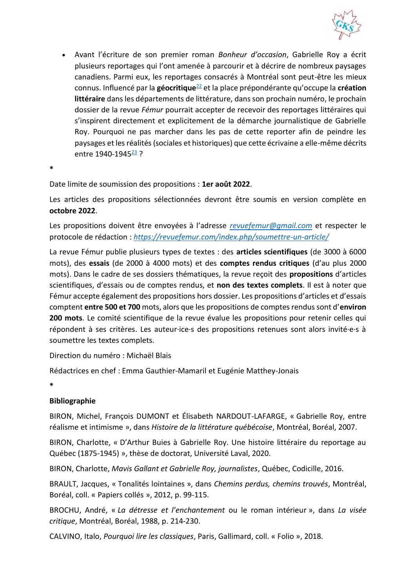

• Avant l'écriture de son premier roman *Bonheur d'occasion*, Gabrielle Roy a écrit plusieurs reportages qui l'ont amenée à parcourir et à décrire de nombreux paysages canadiens. Parmi eux, les reportages consacrés à Montréal sont peut-être les mieux connus. Influencé par la **géocritique**[22](https://revuefemur.com/index.php/2022/06/14/appel-a-propositions-n-6-gabrielle-roy-echos-et-experiences-dune-oeuvre/#fn22) et la place prépondérante qu'occupe la **création littéraire** dans les départements de littérature, dans son prochain numéro, le prochain dossier de la revue *Fémur* pourrait accepter de recevoir des reportages littéraires qui s'inspirent directement et explicitement de la démarche journalistique de Gabrielle Roy. Pourquoi ne pas marcher dans les pas de cette reporter afin de peindre les paysages et les réalités (sociales et historiques) que cette écrivaine a elle-même décrits entre 1940-1945<sup>[23](https://revuefemur.com/index.php/2022/06/14/appel-a-propositions-n-6-gabrielle-roy-echos-et-experiences-dune-oeuvre/#fn23)</sup>?

**\***

Date limite de soumission des propositions : **1er août 2022**.

Les articles des propositions sélectionnées devront être soumis en version complète en **octobre 2022**.

Les propositions doivent être envoyées à l'adresse *[revuefemur@gmail.com](mailto:revuefemur@gmail.com)* et respecter le protocole de rédaction : *<https://revuefemur.com/index.php/soumettre-un-article/>*

La revue Fémur publie plusieurs types de textes : des **articles scientifiques** (de 3000 à 6000 mots), des **essais** (de 2000 à 4000 mots) et des **comptes rendus critiques** (d'au plus 2000 mots). Dans le cadre de ses dossiers thématiques, la revue reçoit des **propositions** d'articles scientifiques, d'essais ou de comptes rendus, et **non des textes complets**. Il est à noter que Fémur accepte également des propositions hors dossier. Les propositions d'articles et d'essais comptent **entre 500 et 700** mots, alors que les propositions de comptes rendus sont d'**environ 200 mots**. Le comité scientifique de la revue évalue les propositions pour retenir celles qui répondent à ses critères. Les auteur·ice·s des propositions retenues sont alors invité·e·s à soumettre les textes complets.

Direction du numéro : Michaël Blais

Rédactrices en chef : Emma Gauthier-Mamaril et Eugénie Matthey-Jonais

**\***

### **Bibliographie**

BIRON, Michel, François DUMONT et Élisabeth NARDOUT-LAFARGE, « Gabrielle Roy, entre réalisme et intimisme », dans *Histoire de la littérature québécoise*, Montréal, Boréal, 2007.

BIRON, Charlotte, « D'Arthur Buies à Gabrielle Roy. Une histoire littéraire du reportage au Québec (1875-1945) », thèse de doctorat, Université Laval, 2020.

BIRON, Charlotte, *Mavis Gallant et Gabrielle Roy, journalistes*, Québec, Codicille, 2016.

BRAULT, Jacques, « Tonalités lointaines », dans *Chemins perdus, chemins trouvés*, Montréal, Boréal, coll. « Papiers collés », 2012, p. 99-115.

BROCHU, André, « *La détresse et l'enchantement* ou le roman intérieur », dans *La visée critique*, Montréal, Boréal, 1988, p. 214-230.

CALVINO, Italo, *Pourquoi lire les classiques*, Paris, Gallimard, coll. « Folio », 2018.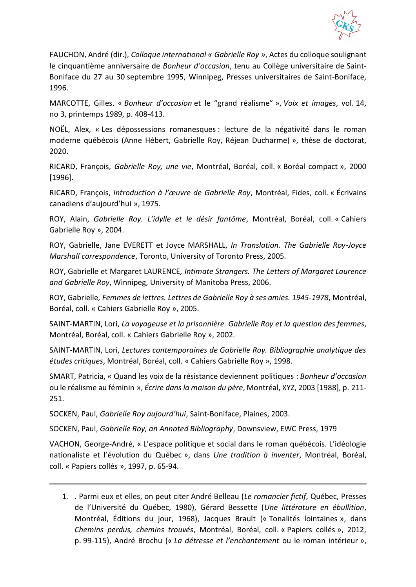

FAUCHON, André (dir.), *Colloque international « Gabrielle Roy »*, Actes du colloque soulignant le cinquantième anniversaire de *Bonheur d'occasion*, tenu au Collège universitaire de Saint-Boniface du 27 au 30 septembre 1995, Winnipeg, Presses universitaires de Saint-Boniface, 1996.

MARCOTTE, Gilles. « *Bonheur d'occasion* et le "grand réalisme" », *Voix et images*, vol. 14, no 3, printemps 1989, p. 408-413.

NOËL, Alex, « Les dépossessions romanesques : lecture de la négativité dans le roman moderne québécois (Anne Hébert, Gabrielle Roy, Réjean Ducharme) », thèse de doctorat, 2020.

RICARD, François, *Gabrielle Roy, une vie*, Montréal, Boréal, coll. « Boréal compact », 2000 [1996].

RICARD, François, *Introduction à l'œuvre de Gabrielle Roy*, Montréal, Fides, coll. « Écrivains canadiens d'aujourd'hui », 1975.

ROY, Alain, *Gabrielle Roy. L'idylle et le désir fantôme*, Montréal, Boréal, coll. « Cahiers Gabrielle Roy », 2004.

ROY, Gabrielle, Jane EVERETT et Joyce MARSHALL, *In Translation. The Gabrielle Roy-Joyce Marshall correspondence*, Toronto, University of Toronto Press, 2005.

ROY, Gabrielle et Margaret LAURENCE*, Intimate Strangers. The Letters of Margaret Laurence and Gabrielle Roy*, Winnipeg, University of Manitoba Press, 2006.

ROY, Gabrielle*, Femmes de lettres. Lettres de Gabrielle Roy à ses amies. 1945-1978*, Montréal, Boréal, coll. « Cahiers Gabrielle Roy », 2005.

SAINT-MARTIN, Lori, *La voyageuse et la prisonnière. Gabrielle Roy et la question des femmes*, Montréal, Boréal, coll. « Cahiers Gabrielle Roy », 2002.

SAINT-MARTIN, Lori, *Lectures contemporaines de Gabrielle Roy. Bibliographie analytique des études critiques*, Montréal, Boréal, coll. « Cahiers Gabrielle Roy », 1998.

SMART, Patricia, « Quand les voix de la résistance deviennent politiques : *Bonheur d'occasion* ou le réalisme au féminin », *Écrire dans la maison du père*, Montréal, XYZ, 2003 [1988], p. 211- 251.

SOCKEN, Paul, *Gabrielle Roy aujourd'hui*, Saint-Boniface, Plaines, 2003.

SOCKEN, Paul, *Gabrielle Roy, an Annoted Bibliography*, Downsview, EWC Press, 1979

VACHON, George-André, « L'espace politique et social dans le roman québécois. L'idéologie nationaliste et l'évolution du Québec », dans *Une tradition à inventer*, Montréal, Boréal, coll. « Papiers collés », 1997, p. 65-94.

1. . Parmi eux et elles, on peut citer André Belleau (*Le romancier fictif*, Québec, Presses de l'Université du Québec, 1980), Gérard Bessette (*Une littérature en ébullition*, Montréal, Éditions du jour, 1968), Jacques Brault (« Tonalités lointaines », dans *Chemins perdus, chemins trouvés*, Montréal, Boréal, coll. « Papiers collés », 2012, p. 99-115), André Brochu (« *La détresse et l'enchantement* ou le roman intérieur »,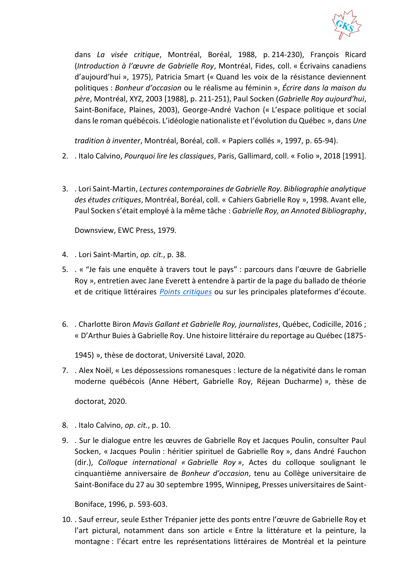

dans *La visée critique*, Montréal, Boréal, 1988, p. 214-230), François Ricard (*Introduction à l'œuvre de Gabrielle Roy*, Montréal, Fides, coll. « Écrivains canadiens d'aujourd'hui », 1975), Patricia Smart (« Quand les voix de la résistance deviennent politiques : *Bonheur d'occasion* ou le réalisme au féminin », *Écrire dans la maison du père*, Montréal, XYZ, 2003 [1988], p. 211-251), Paul Socken (*Gabrielle Roy aujourd'hui*, Saint-Boniface, Plaines, 2003), George-André Vachon (« L'espace politique et social dans le roman québécois. L'idéologie nationaliste et l'évolution du Québec », dans *Une* 

*tradition à inventer*, Montréal, Boréal, coll. « Papiers collés », 1997, p. 65-94)[.](https://revuefemur.com/index.php/2022/06/14/appel-a-propositions-n-6-gabrielle-roy-echos-et-experiences-dune-oeuvre/#fnref1)

- 2. . Italo Calvino, *Pourquoi lire les classiques*, Paris, Gallimard, coll. « Folio », 2018 [1991].
- 3. . Lori Saint-Martin, *Lectures contemporaines de Gabrielle Roy. Bibliographie analytique des études critiques*, Montréal, Boréal, coll. « Cahiers Gabrielle Roy », 1998. Avant elle, Paul Socken s'était employé à la même tâche : *Gabrielle Roy, an Annoted Bibliography*,

Downsview, EWC Press, 1979.

- 4. . Lori Saint-Martin, *op. cit.*, p. 38[.](https://revuefemur.com/index.php/2022/06/14/appel-a-propositions-n-6-gabrielle-roy-echos-et-experiences-dune-oeuvre/#fnref4)
- 5. . « "Je fais une enquête à travers tout le pays" : parcours dans l'œuvre de Gabrielle Roy », entretien avec Jane Everett à entendre à partir de la page du ballado de théorie et de critique littéraires *[Points critiques](https://www.mcgill.ca/litterature/fr/medias)* ou sur les principales plateformes d'écoute.
- 6. . Charlotte Biron *Mavis Gallant et Gabrielle Roy, journalistes*, Québec, Codicille, 2016 ; « D'Arthur Buies à Gabrielle Roy. Une histoire littéraire du reportage au Québec (1875-

1945) », thèse de doctorat, Université Laval, 2020.

7. . Alex Noël, « Les dépossessions romanesques : lecture de la négativité dans le roman moderne québécois (Anne Hébert, Gabrielle Roy, Réjean Ducharme) », thèse de

doctorat, 2020.

- 8. . Italo Calvino, *op. cit.*, p. 10[.](https://revuefemur.com/index.php/2022/06/14/appel-a-propositions-n-6-gabrielle-roy-echos-et-experiences-dune-oeuvre/#fnref8)
- 9. . Sur le dialogue entre les œuvres de Gabrielle Roy et Jacques Poulin, consulter Paul Socken, « Jacques Poulin : héritier spirituel de Gabrielle Roy », dans André Fauchon (dir.), *Colloque international « Gabrielle Roy »*, Actes du colloque soulignant le cinquantième anniversaire de *Bonheur d'occasion*, tenu au Collège universitaire de Saint-Boniface du 27 au 30 septembre 1995, Winnipeg, Presses universitaires de Saint-

Boniface, 1996, p. 593-603[.](https://revuefemur.com/index.php/2022/06/14/appel-a-propositions-n-6-gabrielle-roy-echos-et-experiences-dune-oeuvre/#fnref9)

10. . Sauf erreur, seule Esther Trépanier jette des ponts entre l'œuvre de Gabrielle Roy et l'art pictural, notamment dans son article « Entre la littérature et la peinture, la montagne : l'écart entre les représentations littéraires de Montréal et la peinture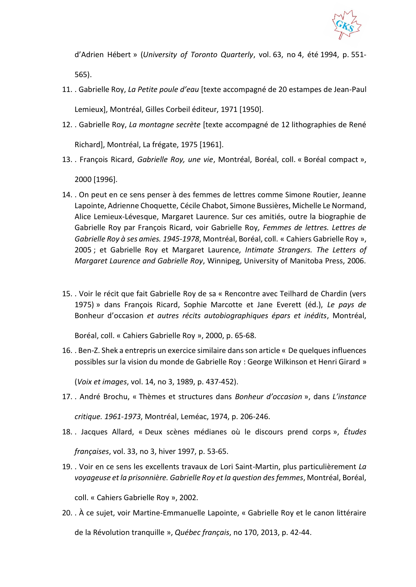

d'Adrien Hébert » (*University of Toronto Quarterly*, vol. 63, no 4, été 1994, p. 551- 565).

- 11. . Gabrielle Roy, *La Petite poule d'eau* [texte accompagné de 20 estampes de Jean-Paul Lemieux], Montréal, Gilles Corbeil éditeur, 1971 [1950].
- 12. . Gabrielle Roy, *La montagne secrète* [texte accompagné de 12 lithographies de René Richard], Montréal, La frégate, 1975 [1961].
- 13. . François Ricard, *Gabrielle Roy, une vie*, Montréal, Boréal, coll. « Boréal compact », 2000 [1996].
- 14. . On peut en ce sens penser à des femmes de lettres comme Simone Routier, Jeanne Lapointe, Adrienne Choquette, Cécile Chabot, Simone Bussières, Michelle Le Normand, Alice Lemieux-Lévesque, Margaret Laurence. Sur ces amitiés, outre la biographie de Gabrielle Roy par François Ricard, voir Gabrielle Roy*, Femmes de lettres. Lettres de Gabrielle Roy à ses amies. 1945-1978*, Montréal, Boréal, coll. « Cahiers Gabrielle Roy », 2005 ; et Gabrielle Roy et Margaret Laurence*, Intimate Strangers. The Letters of Margaret Laurence and Gabrielle Roy*, Winnipeg, University of Manitoba Press, 2006.
- 15. . Voir le récit que fait Gabrielle Roy de sa « Rencontre avec Teilhard de Chardin (vers 1975) » dans François Ricard, Sophie Marcotte et Jane Everett (éd.), *Le pays de* Bonheur d'occasion *et autres récits autobiographiques épars et inédits*, Montréal,

Boréal, coll. « Cahiers Gabrielle Roy », 2000, p. 65-68.

16. . Ben-Z. Shek a entrepris un exercice similaire dans son article « De quelques influences possibles sur la vision du monde de Gabrielle Roy : George Wilkinson et Henri Girard »

(*Voix et images*, vol. 14, no 3, 1989, p. 437-452).

17. . André Brochu, « Thèmes et structures dans *Bonheur d'occasion* », dans *L'instance* 

*critique. 1961-1973*, Montréal, Leméac, 1974, p. 206-246.

18. . Jacques Allard, « Deux scènes médianes où le discours prend corps », *Études* 

*françaises*, vol. 33, no 3, hiver 1997, p. 53-65.

19. . Voir en ce sens les excellents travaux de Lori Saint-Martin, plus particulièrement *La voyageuse et la prisonnière. Gabrielle Roy et la question des femmes*, Montréal, Boréal,

coll. « Cahiers Gabrielle Roy », 2002.

20. . À ce sujet, voir Martine-Emmanuelle Lapointe, « Gabrielle Roy et le canon littéraire de la Révolution tranquille », *Québec français*, no 170, 2013, p. 42-44.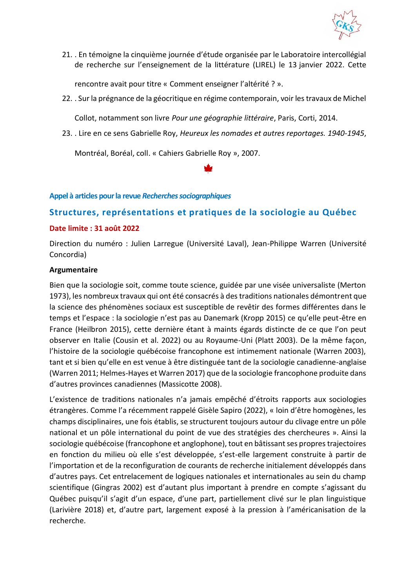

21. . En témoigne la cinquième journée d'étude organisée par le Laboratoire intercollégial de recherche sur l'enseignement de la littérature (LIREL) l[e 13](https://revuefemur.com/index.php/2022/06/14/appel-a-propositions-n-6-gabrielle-roy-echos-et-experiences-dune-oeuvre/#fnref21) janvier 2022. Cette

rencontre avait pour titre « Comment enseigner l'altérité ? ».

22. . Sur la prégnance de la géocritique en régime contemporain, voir les travaux de Michel

Collot, notamment son livre *Pour une géographie littéraire*, Paris, Corti, 2014.

23. . Lire en ce sens Gabrielle Roy, *Heureux les nomades et autres reportages. 1940-1945*,

Montréal, Boréal, coll. « Cahiers Gabrielle Roy », 2007.

### <span id="page-30-0"></span>**Appel à articles pour la revue** *Recherches sociographiques*

## <span id="page-30-1"></span>**Structures, représentations et pratiques de la sociologie au Québec**

### **Date limite : 31 août 2022**

Direction du numéro : Julien Larregue (Université Laval), Jean-Philippe Warren (Université Concordia)

### **Argumentaire**

Bien que la sociologie soit, comme toute science, guidée par une visée universaliste (Merton 1973), les nombreux travaux qui ont été consacrés à des traditions nationales démontrent que la science des phénomènes sociaux est susceptible de revêtir des formes différentes dans le temps et l'espace : la sociologie n'est pas au Danemark (Kropp 2015) ce qu'elle peut-être en France (Heilbron 2015), cette dernière étant à maints égards distincte de ce que l'on peut observer en Italie (Cousin et al. 2022) ou au Royaume-Uni (Platt 2003). De la même façon, l'histoire de la sociologie québécoise francophone est intimement nationale (Warren 2003), tant et si bien qu'elle en est venue à être distinguée tant de la sociologie canadienne-anglaise (Warren 2011; Helmes-Hayes et Warren 2017) que de la sociologie francophone produite dans d'autres provinces canadiennes (Massicotte 2008).

L'existence de traditions nationales n'a jamais empêché d'étroits rapports aux sociologies étrangères. Comme l'a récemment rappelé Gisèle Sapiro (2022), « loin d'être homogènes, les champs disciplinaires, une fois établis, se structurent toujours autour du clivage entre un pôle national et un pôle international du point de vue des stratégies des chercheures ». Ainsi la sociologie québécoise (francophone et anglophone), tout en bâtissant ses propres trajectoires en fonction du milieu où elle s'est développée, s'est-elle largement construite à partir de l'importation et de la reconfiguration de courants de recherche initialement développés dans d'autres pays. Cet entrelacement de logiques nationales et internationales au sein du champ scientifique (Gingras 2002) est d'autant plus important à prendre en compte s'agissant du Québec puisqu'il s'agit d'un espace, d'une part, partiellement clivé sur le plan linguistique (Larivière 2018) et, d'autre part, largement exposé à la pression à l'américanisation de la recherche.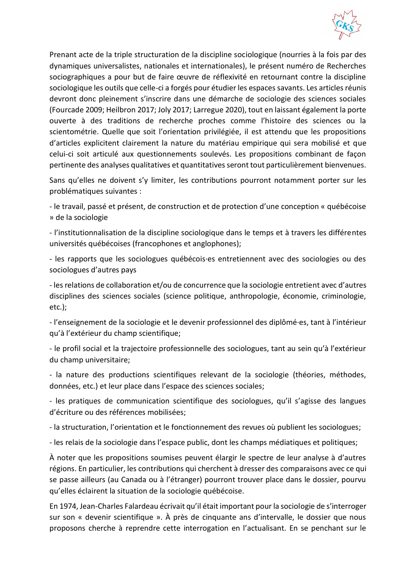

Prenant acte de la triple structuration de la discipline sociologique (nourries à la fois par des dynamiques universalistes, nationales et internationales), le présent numéro de Recherches sociographiques a pour but de faire œuvre de réflexivité en retournant contre la discipline sociologique les outils que celle-ci a forgés pour étudier les espaces savants. Les articles réunis devront donc pleinement s'inscrire dans une démarche de sociologie des sciences sociales (Fourcade 2009; Heilbron 2017; Joly 2017; Larregue 2020), tout en laissant également la porte ouverte à des traditions de recherche proches comme l'histoire des sciences ou la scientométrie. Quelle que soit l'orientation privilégiée, il est attendu que les propositions d'articles explicitent clairement la nature du matériau empirique qui sera mobilisé et que celui-ci soit articulé aux questionnements soulevés. Les propositions combinant de façon pertinente des analyses qualitatives et quantitatives seront tout particulièrement bienvenues.

Sans qu'elles ne doivent s'y limiter, les contributions pourront notamment porter sur les problématiques suivantes :

- le travail, passé et présent, de construction et de protection d'une conception « québécoise » de la sociologie

- l'institutionnalisation de la discipline sociologique dans le temps et à travers les différentes universités québécoises (francophones et anglophones);

- les rapports que les sociologues québécois·es entretiennent avec des sociologies ou des sociologues d'autres pays

- les relations de collaboration et/ou de concurrence que la sociologie entretient avec d'autres disciplines des sciences sociales (science politique, anthropologie, économie, criminologie, etc.);

- l'enseignement de la sociologie et le devenir professionnel des diplômé·es, tant à l'intérieur qu'à l'extérieur du champ scientifique;

- le profil social et la trajectoire professionnelle des sociologues, tant au sein qu'à l'extérieur du champ universitaire;

- la nature des productions scientifiques relevant de la sociologie (théories, méthodes, données, etc.) et leur place dans l'espace des sciences sociales;

- les pratiques de communication scientifique des sociologues, qu'il s'agisse des langues d'écriture ou des références mobilisées;

- la structuration, l'orientation et le fonctionnement des revues où publient les sociologues;

- les relais de la sociologie dans l'espace public, dont les champs médiatiques et politiques;

À noter que les propositions soumises peuvent élargir le spectre de leur analyse à d'autres régions. En particulier, les contributions qui cherchent à dresser des comparaisons avec ce qui se passe ailleurs (au Canada ou à l'étranger) pourront trouver place dans le dossier, pourvu qu'elles éclairent la situation de la sociologie québécoise.

En 1974, Jean-Charles Falardeau écrivait qu'il était important pour la sociologie de s'interroger sur son « devenir scientifique ». À près de cinquante ans d'intervalle, le dossier que nous proposons cherche à reprendre cette interrogation en l'actualisant. En se penchant sur le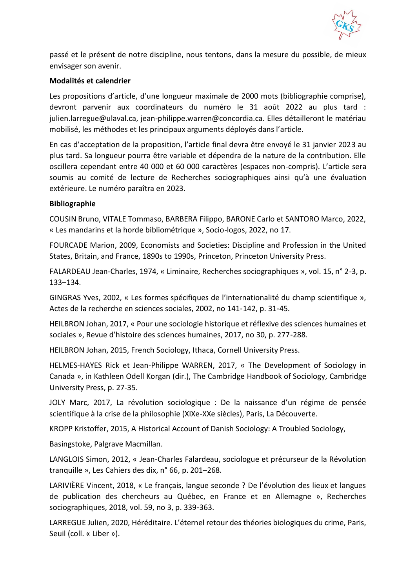

passé et le présent de notre discipline, nous tentons, dans la mesure du possible, de mieux envisager son avenir.

### **Modalités et calendrier**

Les propositions d'article, d'une longueur maximale de 2000 mots (bibliographie comprise), devront parvenir aux coordinateurs du numéro le 31 août 2022 au plus tard : julien.larregue@ulaval.ca, jean-philippe.warren@concordia.ca. Elles détailleront le matériau mobilisé, les méthodes et les principaux arguments déployés dans l'article.

En cas d'acceptation de la proposition, l'article final devra être envoyé le 31 janvier 2023 au plus tard. Sa longueur pourra être variable et dépendra de la nature de la contribution. Elle oscillera cependant entre 40 000 et 60 000 caractères (espaces non-compris). L'article sera soumis au comité de lecture de Recherches sociographiques ainsi qu'à une évaluation extérieure. Le numéro paraîtra en 2023.

### **Bibliographie**

COUSIN Bruno, VITALE Tommaso, BARBERA Filippo, BARONE Carlo et SANTORO Marco, 2022, « Les mandarins et la horde bibliométrique », Socio-logos, 2022, no 17.

FOURCADE Marion, 2009, Economists and Societies: Discipline and Profession in the United States, Britain, and France, 1890s to 1990s, Princeton, Princeton University Press.

FALARDEAU Jean-Charles, 1974, « Liminaire, Recherches sociographiques », vol. 15, n° 2-3, p. 133–134.

GINGRAS Yves, 2002, « Les formes spécifiques de l'internationalité du champ scientifique », Actes de la recherche en sciences sociales, 2002, no 141‑142, p. 31‑45.

HEILBRON Johan, 2017, « Pour une sociologie historique et réflexive des sciences humaines et sociales », Revue d'histoire des sciences humaines, 2017, no 30, p. 277‑288.

HEILBRON Johan, 2015, French Sociology, Ithaca, Cornell University Press.

HELMES-HAYES Rick et Jean-Philippe WARREN, 2017, « The Development of Sociology in Canada », in Kathleen Odell Korgan (dir.), The Cambridge Handbook of Sociology, Cambridge University Press, p. 27-35.

JOLY Marc, 2017, La révolution sociologique : De la naissance d'un régime de pensée scientifique à la crise de la philosophie (XIXe-XXe siècles), Paris, La Découverte.

KROPP Kristoffer, 2015, A Historical Account of Danish Sociology: A Troubled Sociology,

Basingstoke, Palgrave Macmillan.

LANGLOIS Simon, 2012, « Jean-Charles Falardeau, sociologue et précurseur de la Révolution tranquille », Les Cahiers des dix, n° 66, p. 201–268.

LARIVIÈRE Vincent, 2018, « Le français, langue seconde ? De l'évolution des lieux et langues de publication des chercheurs au Québec, en France et en Allemagne », Recherches sociographiques, 2018, vol. 59, no 3, p. 339‑363.

LARREGUE Julien, 2020, Héréditaire. L'éternel retour des théories biologiques du crime, Paris, Seuil (coll. « Liber »).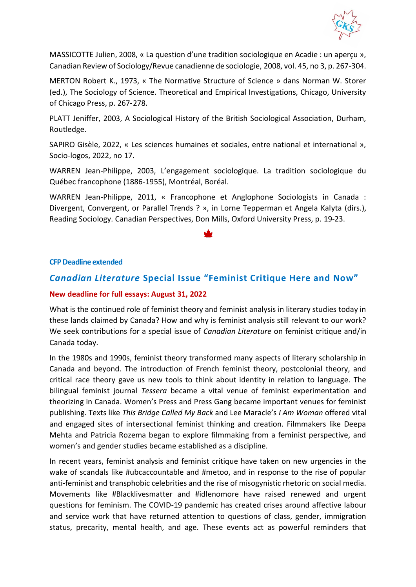

MASSICOTTE Julien, 2008, « La question d'une tradition sociologique en Acadie : un aperçu », Canadian Review of Sociology/Revue canadienne de sociologie, 2008, vol. 45, no 3, p. 267‑304.

MERTON Robert K., 1973, « The Normative Structure of Science » dans Norman W. Storer (ed.), The Sociology of Science. Theoretical and Empirical Investigations, Chicago, University of Chicago Press, p. 267‑278.

PLATT Jeniffer, 2003, A Sociological History of the British Sociological Association, Durham, Routledge.

SAPIRO Gisèle, 2022, « Les sciences humaines et sociales, entre national et international », Socio-logos, 2022, no 17.

WARREN Jean-Philippe, 2003, L'engagement sociologique. La tradition sociologique du Québec francophone (1886-1955), Montréal, Boréal.

WARREN Jean-Philippe, 2011, « Francophone et Anglophone Sociologists in Canada : Divergent, Convergent, or Parallel Trends ? », in Lorne Tepperman et Angela Kalyta (dirs.), Reading Sociology. Canadian Perspectives, Don Mills, Oxford University Press, p. 19-23.

### <span id="page-33-0"></span>**CFP Deadline extended**

### <span id="page-33-1"></span>*Canadian Literature* **Special Issue "Feminist Critique Here and Now"**

#### **New deadline for full essays: August 31, 2022**

What is the continued role of feminist theory and feminist analysis in literary studies today in these lands claimed by Canada? How and why is feminist analysis still relevant to our work? We seek contributions for a special issue of *Canadian Literature* on feminist critique and/in Canada today.

In the 1980s and 1990s, feminist theory transformed many aspects of literary scholarship in Canada and beyond. The introduction of French feminist theory, postcolonial theory, and critical race theory gave us new tools to think about identity in relation to language. The bilingual feminist journal *Tessera* became a vital venue of feminist experimentation and theorizing in Canada. Women's Press and Press Gang became important venues for feminist publishing. Texts like *This Bridge Called My Back* and Lee Maracle's *I Am Woman* offered vital and engaged sites of intersectional feminist thinking and creation. Filmmakers like Deepa Mehta and Patricia Rozema began to explore filmmaking from a feminist perspective, and women's and gender studies became established as a discipline.

In recent years, feminist analysis and feminist critique have taken on new urgencies in the wake of scandals like #ubcaccountable and #metoo, and in response to the rise of popular anti-feminist and transphobic celebrities and the rise of misogynistic rhetoric on social media. Movements like #Blacklivesmatter and #idlenomore have raised renewed and urgent questions for feminism. The COVID-19 pandemic has created crises around affective labour and service work that have returned attention to questions of class, gender, immigration status, precarity, mental health, and age. These events act as powerful reminders that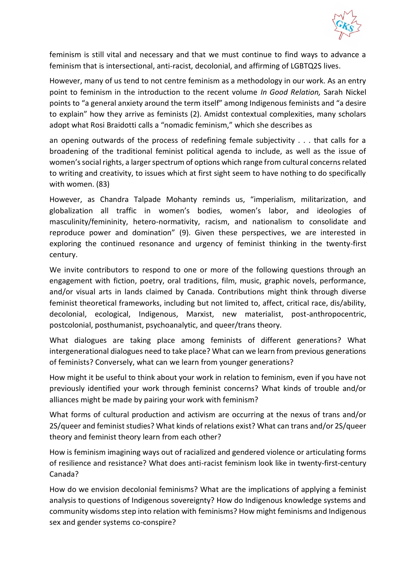

feminism is still vital and necessary and that we must continue to find ways to advance a feminism that is intersectional, anti-racist, decolonial, and affirming of LGBTQ2S lives.

However, many of us tend to not centre feminism as a methodology in our work. As an entry point to feminism in the introduction to the recent volume *In Good Relation,* Sarah Nickel points to "a general anxiety around the term itself" among Indigenous feminists and "a desire to explain" how they arrive as feminists (2). Amidst contextual complexities, many scholars adopt what Rosi Braidotti calls a "nomadic feminism," which she describes as

an opening outwards of the process of redefining female subjectivity . . . that calls for a broadening of the traditional feminist political agenda to include, as well as the issue of women's social rights, a larger spectrum of options which range from cultural concerns related to writing and creativity, to issues which at first sight seem to have nothing to do specifically with women. (83)

However, as Chandra Talpade Mohanty reminds us, "imperialism, militarization, and globalization all traffic in women's bodies, women's labor, and ideologies of masculinity/femininity, hetero-normativity, racism, and nationalism to consolidate and reproduce power and domination" (9). Given these perspectives, we are interested in exploring the continued resonance and urgency of feminist thinking in the twenty-first century.

We invite contributors to respond to one or more of the following questions through an engagement with fiction, poetry, oral traditions, film, music, graphic novels, performance, and/or visual arts in lands claimed by Canada. Contributions might think through diverse feminist theoretical frameworks, including but not limited to, affect, critical race, dis/ability, decolonial, ecological, Indigenous, Marxist, new materialist, post-anthropocentric, postcolonial, posthumanist, psychoanalytic, and queer/trans theory.

What dialogues are taking place among feminists of different generations? What intergenerational dialogues need to take place? What can we learn from previous generations of feminists? Conversely, what can we learn from younger generations?

How might it be useful to think about your work in relation to feminism, even if you have not previously identified your work through feminist concerns? What kinds of trouble and/or alliances might be made by pairing your work with feminism?

What forms of cultural production and activism are occurring at the nexus of trans and/or 2S/queer and feminist studies? What kinds of relations exist? What can trans and/or 2S/queer theory and feminist theory learn from each other?

How is feminism imagining ways out of racialized and gendered violence or articulating forms of resilience and resistance? What does anti-racist feminism look like in twenty-first-century Canada?

How do we envision decolonial feminisms? What are the implications of applying a feminist analysis to questions of Indigenous sovereignty? How do Indigenous knowledge systems and community wisdoms step into relation with feminisms? How might feminisms and Indigenous sex and gender systems co-conspire?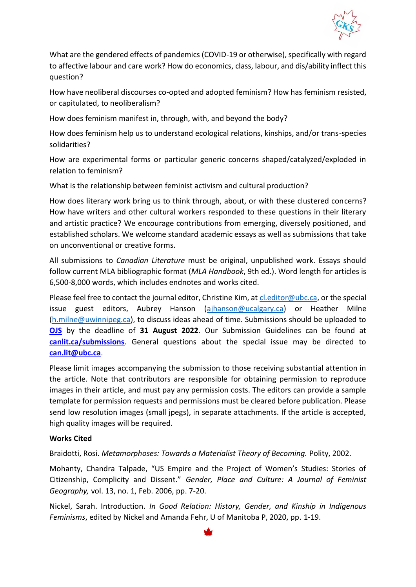

What are the gendered effects of pandemics (COVID-19 or otherwise), specifically with regard to affective labour and care work? How do economics, class, labour, and dis/ability inflect this question?

How have neoliberal discourses co-opted and adopted feminism? How has feminism resisted, or capitulated, to neoliberalism?

How does feminism manifest in, through, with, and beyond the body?

How does feminism help us to understand ecological relations, kinships, and/or trans-species solidarities?

How are experimental forms or particular generic concerns shaped/catalyzed/exploded in relation to feminism?

What is the relationship between feminist activism and cultural production?

How does literary work bring us to think through, about, or with these clustered concerns? How have writers and other cultural workers responded to these questions in their literary and artistic practice? We encourage contributions from emerging, diversely positioned, and established scholars. We welcome standard academic essays as well as submissions that take on unconventional or creative forms.

All submissions to *Canadian Literature* must be original, unpublished work. Essays should follow current MLA bibliographic format (*MLA Handbook*, 9th ed.). Word length for articles is 6,500-8,000 words, which includes endnotes and works cited.

Please feel free to contact the journal editor, Christine Kim, at [cl.editor@ubc.ca,](mailto:cl.editor@ubc.ca) or the special issue guest editors, Aubrey Hanson [\(ajhanson@ucalgary.ca\)](mailto:ajhanson@ucalgary.ca) or Heather Milne [\(h.milne@uwinnipeg.ca\)](mailto:h.milne@uwinnipeg.ca), to discuss ideas ahead of time. Submissions should be uploaded to **[OJS](https://ojs.library.ubc.ca/index.php/canlit/login)** by the deadline of **31 August 2022**. Our Submission Guidelines can be found at **[canlit.ca/submissions](https://canlit.ca/submissions/)**. General questions about the special issue may be directed to **[can.lit@ubc.ca](mailto:can.lit@ubc.ca)**.

Please limit images accompanying the submission to those receiving substantial attention in the article. Note that contributors are responsible for obtaining permission to reproduce images in their article, and must pay any permission costs. The editors can provide a sample template for permission requests and permissions must be cleared before publication. Please send low resolution images (small jpegs), in separate attachments. If the article is accepted, high quality images will be required.

### **Works Cited**

Braidotti, Rosi. *Metamorphoses: Towards a Materialist Theory of Becoming.* Polity, 2002.

Mohanty, Chandra Talpade, "US Empire and the Project of Women's Studies: Stories of Citizenship, Complicity and Dissent." *Gender, Place and Culture: A Journal of Feminist Geography,* vol. 13, no. 1, Feb. 2006, pp. 7-20.

Nickel, Sarah. Introduction. *In Good Relation: History, Gender, and Kinship in Indigenous Feminisms*, edited by Nickel and Amanda Fehr, U of Manitoba P, 2020, pp. 1-19.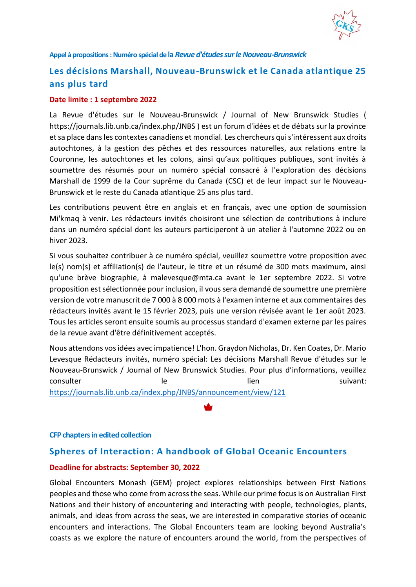

<span id="page-36-0"></span>**Appel à propositions: Numéro spécial de la** *Revue d'études sur le Nouveau-Brunswick*

## <span id="page-36-1"></span>**Les décisions Marshall, Nouveau-Brunswick et le Canada atlantique 25 ans plus tard**

#### **Date limite : 1 septembre 2022**

La Revue d'études sur le Nouveau-Brunswick / Journal of New Brunswick Studies ( https://journals.lib.unb.ca/index.php/JNBS ) est un forum d'idées et de débats sur la province et sa place dans les contextes canadiens et mondial. Les chercheurs qui s'intéressent aux droits autochtones, à la gestion des pêches et des ressources naturelles, aux relations entre la Couronne, les autochtones et les colons, ainsi qu'aux politiques publiques, sont invités à soumettre des résumés pour un numéro spécial consacré à l'exploration des décisions Marshall de 1999 de la Cour suprême du Canada (CSC) et de leur impact sur le Nouveau-Brunswick et le reste du Canada atlantique 25 ans plus tard.

Les contributions peuvent être en anglais et en français, avec une option de soumission Mi'kmaq à venir. Les rédacteurs invités choisiront une sélection de contributions à inclure dans un numéro spécial dont les auteurs participeront à un atelier à l'automne 2022 ou en hiver 2023.

Si vous souhaitez contribuer à ce numéro spécial, veuillez soumettre votre proposition avec le(s) nom(s) et affiliation(s) de l'auteur, le titre et un résumé de 300 mots maximum, ainsi qu'une brève biographie, à malevesque@mta.ca avant le 1er septembre 2022. Si votre proposition est sélectionnée pour inclusion, il vous sera demandé de soumettre une première version de votre manuscrit de 7 000 à 8 000 mots à l'examen interne et aux commentaires des rédacteurs invités avant le 15 février 2023, puis une version révisée avant le 1er août 2023. Tous les articles seront ensuite soumis au processus standard d'examen externe par les paires de la revue avant d'être définitivement acceptés.

Nous attendons vos idées avec impatience! L'hon. Graydon Nicholas, Dr. Ken Coates, Dr. Mario Levesque Rédacteurs invités, numéro spécial: Les décisions Marshall Revue d'études sur le Nouveau-Brunswick / Journal of New Brunswick Studies. Pour plus d'informations, veuillez consulter le le lien lien suivant: <https://journals.lib.unb.ca/index.php/JNBS/announcement/view/121>

#### <span id="page-36-2"></span>**CFP chapters in edited collection**

### <span id="page-36-3"></span>**Spheres of Interaction: A handbook of Global Oceanic Encounters**

#### **Deadline for abstracts: September 30, 2022**

Global Encounters Monash (GEM) project explores relationships between First Nations peoples and those who come from across the seas. While our prime focus is on Australian First Nations and their history of encountering and interacting with people, technologies, plants, animals, and ideas from across the seas, we are interested in comparative stories of oceanic encounters and interactions. The Global Encounters team are looking beyond Australia's coasts as we explore the nature of encounters around the world, from the perspectives of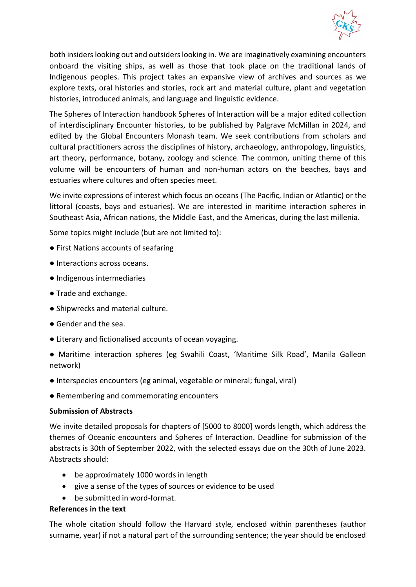

both insiders looking out and outsiders looking in. We are imaginatively examining encounters onboard the visiting ships, as well as those that took place on the traditional lands of Indigenous peoples. This project takes an expansive view of archives and sources as we explore texts, oral histories and stories, rock art and material culture, plant and vegetation histories, introduced animals, and language and linguistic evidence.

The Spheres of Interaction handbook Spheres of Interaction will be a major edited collection of interdisciplinary Encounter histories, to be published by Palgrave McMillan in 2024, and edited by the Global Encounters Monash team. We seek contributions from scholars and cultural practitioners across the disciplines of history, archaeology, anthropology, linguistics, art theory, performance, botany, zoology and science. The common, uniting theme of this volume will be encounters of human and non-human actors on the beaches, bays and estuaries where cultures and often species meet.

We invite expressions of interest which focus on oceans (The Pacific, Indian or Atlantic) or the littoral (coasts, bays and estuaries). We are interested in maritime interaction spheres in Southeast Asia, African nations, the Middle East, and the Americas, during the last millenia.

Some topics might include (but are not limited to):

- First Nations accounts of seafaring
- Interactions across oceans.
- Indigenous intermediaries
- Trade and exchange.
- Shipwrecks and material culture.
- Gender and the sea.
- Literary and fictionalised accounts of ocean voyaging.

● Maritime interaction spheres (eg Swahili Coast, 'Maritime Silk Road', Manila Galleon network)

- Interspecies encounters (eg animal, vegetable or mineral; fungal, viral)
- Remembering and commemorating encounters

### **Submission of Abstracts**

We invite detailed proposals for chapters of [5000 to 8000] words length, which address the themes of Oceanic encounters and Spheres of Interaction. Deadline for submission of the abstracts is 30th of September 2022, with the selected essays due on the 30th of June 2023. Abstracts should:

- be approximately 1000 words in length
- give a sense of the types of sources or evidence to be used
- be submitted in word-format.

### **References in the text**

The whole citation should follow the Harvard style, enclosed within parentheses (author surname, year) if not a natural part of the surrounding sentence; the year should be enclosed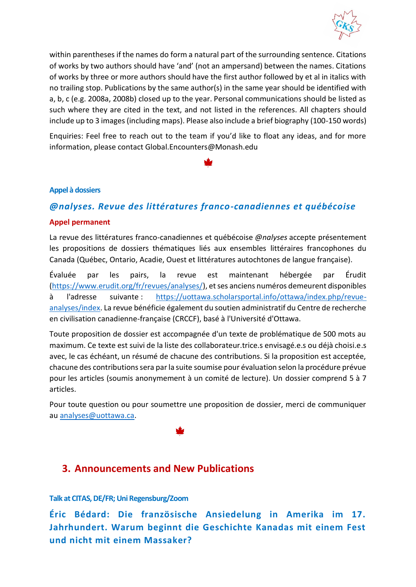

within parentheses if the names do form a natural part of the surrounding sentence. Citations of works by two authors should have 'and' (not an ampersand) between the names. Citations of works by three or more authors should have the first author followed by et al in italics with no trailing stop. Publications by the same author(s) in the same year should be identified with a, b, c (e.g. 2008a, 2008b) closed up to the year. Personal communications should be listed as such where they are cited in the text, and not listed in the references. All chapters should include up to 3 images (including maps). Please also include a brief biography (100-150 words)

Enquiries: Feel free to reach out to the team if you'd like to float any ideas, and for more information, please contact Global.Encounters@Monash.edu

### <span id="page-38-0"></span>**Appel à dossiers**

### <span id="page-38-1"></span>*@nalyses. Revue des littératures franco-canadiennes et québécoise*

#### **Appel permanent**

La revue des littératures franco-canadiennes et québécoise *@nalyses* accepte présentement les propositions de dossiers thématiques liés aux ensembles littéraires francophones du Canada (Québec, Ontario, Acadie, Ouest et littératures autochtones de langue française).

Évaluée par les pairs, la revue est maintenant hébergée par Érudit [\(https://www.erudit.org/fr/revues/analyses/\)](https://www.erudit.org/fr/revues/analyses/), et ses anciens numéros demeurent disponibles à l'adresse suivante : [https://uottawa.scholarsportal.info/ottawa/index.php/revue](https://uottawa.scholarsportal.info/ottawa/index.php/revue-analyses/index)[analyses/index.](https://uottawa.scholarsportal.info/ottawa/index.php/revue-analyses/index) La revue bénéficie également du soutien administratif du Centre de recherche en civilisation canadienne-française (CRCCF), basé à l'Université d'Ottawa.

Toute proposition de dossier est accompagnée d'un texte de problématique de 500 mots au maximum. Ce texte est suivi de la liste des collaborateur.trice.s envisagé.e.s ou déjà choisi.e.s avec, le cas échéant, un résumé de chacune des contributions. Si la proposition est acceptée, chacune des contributions sera par la suite soumise pour évaluation selon la procédure prévue pour les articles (soumis anonymement à un comité de lecture). Un dossier comprend 5 à 7 articles.

Pour toute question ou pour soumettre une proposition de dossier, merci de communiquer au [analyses@uottawa.ca.](mailto:analyses@uottawa.ca)

## <span id="page-38-2"></span>**3. Announcements and New Publications**

#### <span id="page-38-3"></span>**Talk at CITAS, DE/FR; Uni Regensburg/Zoom**

<span id="page-38-4"></span>**Éric Bédard: Die französische Ansiedelung in Amerika im 17. Jahrhundert. Warum beginnt die Geschichte Kanadas mit einem Fest und nicht mit einem Massaker?**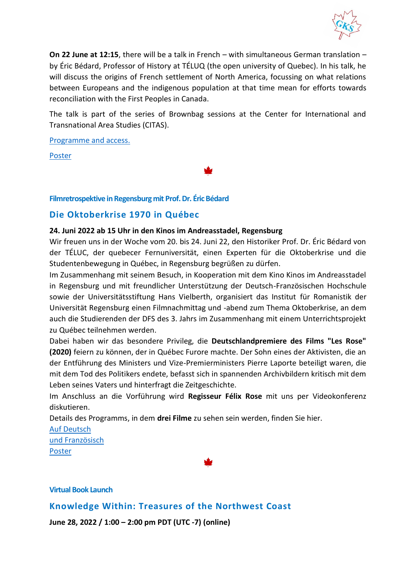

**On 22 June at 12:15**, there will be a talk in French – with simultaneous German translation – by Éric Bédard, Professor of History at TÉLUQ (the open university of Quebec). In his talk, he will discuss the origins of French settlement of North America, focussing on what relations between Europeans and the indigenous population at that time mean for efforts towards reconciliation with the First Peoples in Canada.

The talk is part of the series of Brownbag sessions at the Center for International and Transnational Area Studies (CITAS).

[Programme and access.](http://www.kanada-studien.org/wp-content/uploads/2022/06/Plakat-Juni-Brownbags.pdf)

[Poster](http://www.kanada-studien.org/wp-content/uploads/2022/06/Plakat-Bedard-CITAS_22-06-22.pdf)

### <span id="page-39-0"></span>**Filmretrospektive in Regensburg mit Prof. Dr. Éric Bédard**

### <span id="page-39-1"></span>**Die Oktoberkrise 1970 in Québec**

### **24. Juni 2022 ab 15 Uhr in den Kinos im Andreasstadel, Regensburg**

Wir freuen uns in der Woche vom 20. bis 24. Juni 22, den Historiker Prof. Dr. Éric Bédard von der TÉLUC, der quebecer Fernuniversität, einen Experten für die Oktoberkrise und die Studentenbewegung in Québec, in Regensburg begrüßen zu dürfen.

Im Zusammenhang mit seinem Besuch, in Kooperation mit dem Kino Kinos im Andreasstadel in Regensburg und mit freundlicher Unterstützung der Deutsch-Französischen Hochschule sowie der Universitätsstiftung Hans Vielberth, organisiert das Institut für Romanistik der Universität Regensburg einen Filmnachmittag und -abend zum Thema Oktoberkrise, an dem auch die Studierenden der DFS des 3. Jahrs im Zusammenhang mit einem Unterrichtsprojekt zu Québec teilnehmen werden.

Dabei haben wir das besondere Privileg, die **Deutschlandpremiere des Films "Les Rose" (2020)** feiern zu können, der in Québec Furore machte. Der Sohn eines der Aktivisten, die an der Entführung des Ministers und Vize-Premierministers Pierre Laporte beteiligt waren, die mit dem Tod des Politikers endete, befasst sich in spannenden Archivbildern kritisch mit dem Leben seines Vaters und hinterfragt die Zeitgeschichte.

Im Anschluss an die Vorführung wird **Regisseur Félix Rose** mit uns per Videokonferenz diskutieren.

Details des Programms, in dem **drei Filme** zu sehen sein werden, finden Sie hier.

[Auf Deutsch](https://www.uni-regensburg.de/assets/sprache-literatur-kultur/romanistik/Master_IKE/Downloads/24.06.22_Filmnachmittag_Oktoberkrise_dt.pdf) [und Französisch](https://www.uni-regensburg.de/assets/sprache-literatur-kultur/romanistik/Master_IKE/Downloads/24-06-22_Crise-doctobre_programme_fr_2pages.pdf) [Poster](http://www.kanada-studien.org/wp-content/uploads/2022/06/Plakat_Oktoberkrise_24-06-22.pdf)

<span id="page-39-2"></span>**Virtual Book Launch**

<span id="page-39-3"></span>**Knowledge Within: Treasures of the Northwest Coast**

**June 28, 2022 / 1:00 – 2:00 pm PDT (UTC -7) (online)**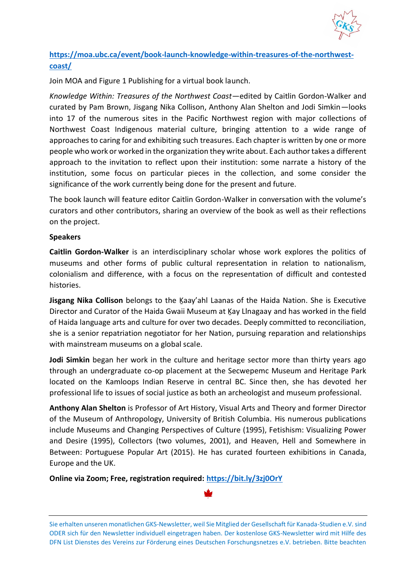

### **[https://moa.ubc.ca/event/book-launch-knowledge-within-treasures-of-the-northwest](https://moa.ubc.ca/event/book-launch-knowledge-within-treasures-of-the-northwest-coast/)[coast/](https://moa.ubc.ca/event/book-launch-knowledge-within-treasures-of-the-northwest-coast/)**

Join MOA and Figure 1 Publishing for a virtual book launch.

*Knowledge Within: Treasures of the Northwest Coast*—edited by Caitlin Gordon-Walker and curated by Pam Brown, Jisgang Nika Collison, Anthony Alan Shelton and Jodi Simkin—looks into 17 of the numerous sites in the Pacific Northwest region with major collections of Northwest Coast Indigenous material culture, bringing attention to a wide range of approaches to caring for and exhibiting such treasures. Each chapter is written by one or more people who work or worked in the organization they write about. Each author takes a different approach to the invitation to reflect upon their institution: some narrate a history of the institution, some focus on particular pieces in the collection, and some consider the significance of the work currently being done for the present and future.

The book launch will feature editor Caitlin Gordon-Walker in conversation with the volume's curators and other contributors, sharing an overview of the book as well as their reflections on the project.

### **Speakers**

**Caitlin Gordon-Walker** is an interdisciplinary scholar whose work explores the politics of museums and other forms of public cultural representation in relation to nationalism, colonialism and difference, with a focus on the representation of difficult and contested histories.

Jisgang Nika Collison belongs to the Kaay'ahl Laanas of the Haida Nation. She is Executive Director and Curator of the Haida Gwaii Museum at Ḵay Llnagaay and has worked in the field of Haida language arts and culture for over two decades. Deeply committed to reconciliation, she is a senior repatriation negotiator for her Nation, pursuing reparation and relationships with mainstream museums on a global scale.

**Jodi Simkin** began her work in the culture and heritage sector more than thirty years ago through an undergraduate co-op placement at the Secwepemc Museum and Heritage Park located on the Kamloops Indian Reserve in central BC. Since then, she has devoted her professional life to issues of social justice as both an archeologist and museum professional.

**Anthony Alan Shelton** is Professor of Art History, Visual Arts and Theory and former Director of the Museum of Anthropology, University of British Columbia. His numerous publications include Museums and Changing Perspectives of Culture (1995), Fetishism: Visualizing Power and Desire (1995), Collectors (two volumes, 2001), and Heaven, Hell and Somewhere in Between: Portuguese Popular Art (2015). He has curated fourteen exhibitions in Canada, Europe and the UK.

**Online via Zoom; Free, registration required: [https://bit.ly/3zj0OrY](https://bit.ly/3zj0OrY?fbclid=IwAR39Uv9h33FxQN8UK5aD_69nX1oFVHyDkoxvf4V9euVYyIxgjVTwTNqseps)**



Sie erhalten unseren monatlichen GKS-Newsletter, weil Sie Mitglied der Gesellschaft für Kanada-Studien e.V. sind ODER sich für den Newsletter individuell eingetragen haben. Der kostenlose GKS-Newsletter wird mit Hilfe des DFN List Dienstes des Vereins zur Förderung eines Deutschen Forschungsnetzes e.V. betrieben. Bitte beachten